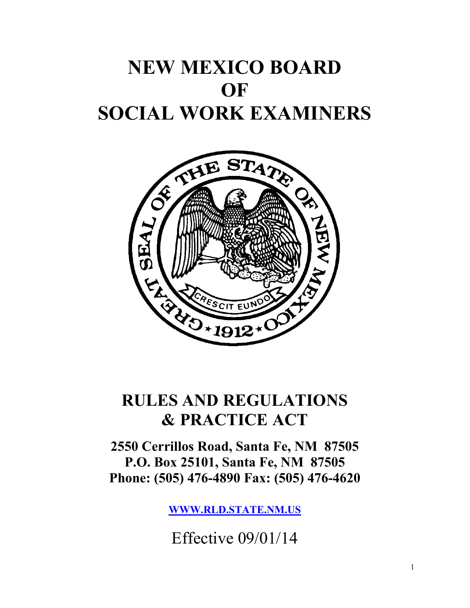# **NEW MEXICO BOARD OF SOCIAL WORK EXAMINERS**



# **RULES AND REGULATIONS & PRACTICE ACT**

**2550 Cerrillos Road, Santa Fe, NM 87505 P.O. Box 25101, Santa Fe, NM 87505 Phone: (505) 476-4890 Fax: (505) 476-4620** 

**WWW.RLD.STATE.NM.US** 

Effective 09/01/14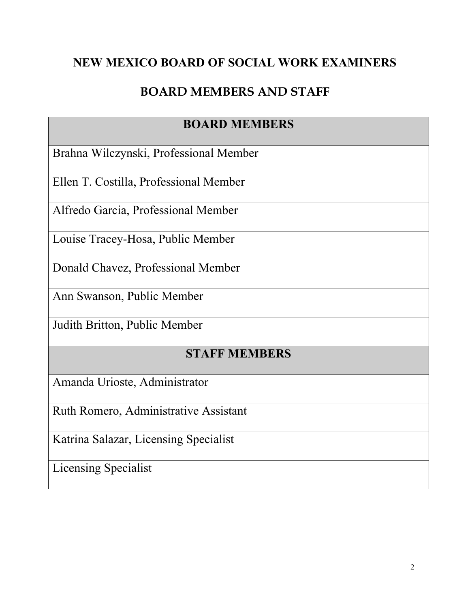# **NEW MEXICO BOARD OF SOCIAL WORK EXAMINERS**

# **BOARD MEMBERS AND STAFF**

# **BOARD MEMBERS**

Brahna Wilczynski, Professional Member

Ellen T. Costilla, Professional Member

Alfredo Garcia, Professional Member

Louise Tracey-Hosa, Public Member

Donald Chavez, Professional Member

Ann Swanson, Public Member

Judith Britton, Public Member

# **STAFF MEMBERS**

Amanda Urioste, Administrator

Ruth Romero, Administrative Assistant

Katrina Salazar, Licensing Specialist

Licensing Specialist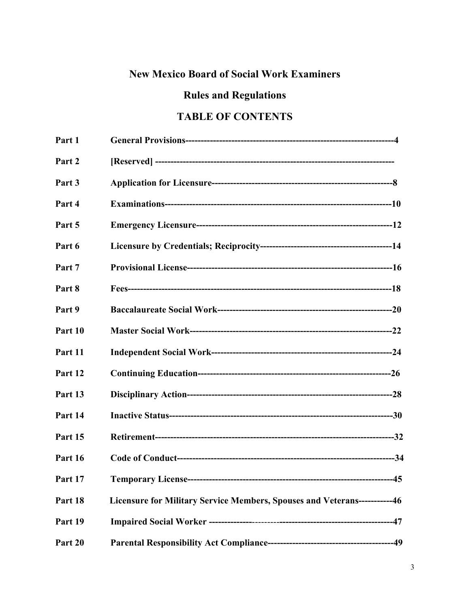# **New Mexico Board of Social Work Examiners**

# **Rules and Regulations**

# **TABLE OF CONTENTS**

| Part 1  |                                                                           |  |
|---------|---------------------------------------------------------------------------|--|
| Part 2  |                                                                           |  |
| Part 3  |                                                                           |  |
| Part 4  |                                                                           |  |
| Part 5  |                                                                           |  |
| Part 6  |                                                                           |  |
| Part 7  |                                                                           |  |
| Part 8  |                                                                           |  |
| Part 9  |                                                                           |  |
| Part 10 |                                                                           |  |
| Part 11 |                                                                           |  |
| Part 12 |                                                                           |  |
| Part 13 |                                                                           |  |
| Part 14 |                                                                           |  |
| Part 15 |                                                                           |  |
| Part 16 |                                                                           |  |
| Part 17 |                                                                           |  |
| Part 18 | Licensure for Military Service Members, Spouses and Veterans-----------46 |  |
| Part 19 |                                                                           |  |
| Part 20 |                                                                           |  |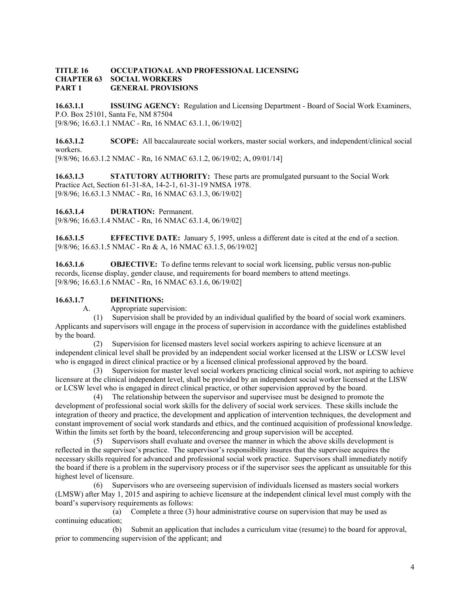# **TITLE 16 OCCUPATIONAL AND PROFESSIONAL LICENSING CHAPTER 63 SOCIAL WORKERS PART 1 GENERAL PROVISIONS**

**16.63.1.1 ISSUING AGENCY:** Regulation and Licensing Department - Board of Social Work Examiners, P.O. Box 25101, Santa Fe, NM 87504 [9/8/96; 16.63.1.1 NMAC - Rn, 16 NMAC 63.1.1, 06/19/02]

**16.63.1.2 SCOPE:** All baccalaureate social workers, master social workers, and independent/clinical social workers.

[9/8/96; 16.63.1.2 NMAC - Rn, 16 NMAC 63.1.2, 06/19/02; A, 09/01/14]

**16.63.1.3 STATUTORY AUTHORITY:** These parts are promulgated pursuant to the Social Work Practice Act, Section 61-31-8A, 14-2-1, 61-31-19 NMSA 1978. [9/8/96; 16.63.1.3 NMAC - Rn, 16 NMAC 63.1.3, 06/19/02]

**16.63.1.4 DURATION:** Permanent.

[9/8/96; 16.63.1.4 NMAC - Rn, 16 NMAC 63.1.4, 06/19/02]

**16.63.1.5 EFFECTIVE DATE:** January 5, 1995, unless a different date is cited at the end of a section. [9/8/96; 16.63.1.5 NMAC - Rn & A, 16 NMAC 63.1.5, 06/19/02]

**16.63.1.6 OBJECTIVE:** To define terms relevant to social work licensing, public versus non-public records, license display, gender clause, and requirements for board members to attend meetings. [9/8/96; 16.63.1.6 NMAC - Rn, 16 NMAC 63.1.6, 06/19/02]

# **16.63.1.7 DEFINITIONS:**

A. Appropriate supervision:

 (1) Supervision shall be provided by an individual qualified by the board of social work examiners. Applicants and supervisors will engage in the process of supervision in accordance with the guidelines established by the board.

 (2) Supervision for licensed masters level social workers aspiring to achieve licensure at an independent clinical level shall be provided by an independent social worker licensed at the LISW or LCSW level who is engaged in direct clinical practice or by a licensed clinical professional approved by the board.

 (3) Supervision for master level social workers practicing clinical social work, not aspiring to achieve licensure at the clinical independent level, shall be provided by an independent social worker licensed at the LISW or LCSW level who is engaged in direct clinical practice, or other supervision approved by the board.

 (4) The relationship between the supervisor and supervisee must be designed to promote the development of professional social work skills for the delivery of social work services. These skills include the integration of theory and practice, the development and application of intervention techniques, the development and constant improvement of social work standards and ethics, and the continued acquisition of professional knowledge. Within the limits set forth by the board, teleconferencing and group supervision will be accepted.

 (5) Supervisors shall evaluate and oversee the manner in which the above skills development is reflected in the supervisee's practice. The supervisor's responsibility insures that the supervisee acquires the necessary skills required for advanced and professional social work practice. Supervisors shall immediately notify the board if there is a problem in the supervisory process or if the supervisor sees the applicant as unsuitable for this highest level of licensure.

 (6) Supervisors who are overseeing supervision of individuals licensed as masters social workers (LMSW) after May 1, 2015 and aspiring to achieve licensure at the independent clinical level must comply with the board's supervisory requirements as follows:

 (a) Complete a three (3) hour administrative course on supervision that may be used as continuing education;

 (b) Submit an application that includes a curriculum vitae (resume) to the board for approval, prior to commencing supervision of the applicant; and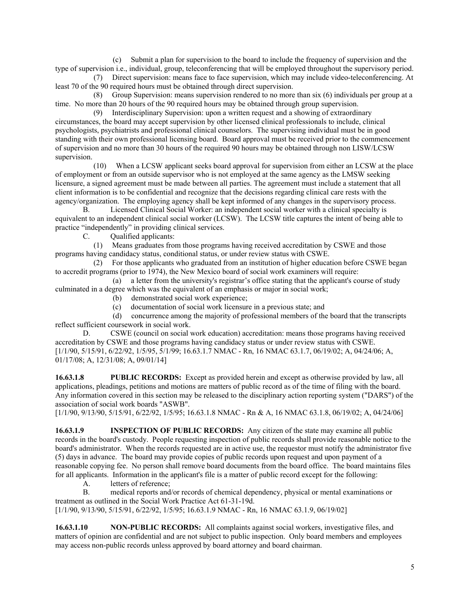(c) Submit a plan for supervision to the board to include the frequency of supervision and the type of supervision i.e., individual, group, teleconferencing that will be employed throughout the supervisory period.

 (7) Direct supervision: means face to face supervision, which may include video-teleconferencing. At least 70 of the 90 required hours must be obtained through direct supervision.

 (8) Group Supervision: means supervision rendered to no more than six (6) individuals per group at a time. No more than 20 hours of the 90 required hours may be obtained through group supervision.

 (9) Interdisciplinary Supervision: upon a written request and a showing of extraordinary circumstances, the board may accept supervision by other licensed clinical professionals to include, clinical psychologists, psychiatrists and professional clinical counselors. The supervising individual must be in good standing with their own professional licensing board. Board approval must be received prior to the commencement of supervision and no more than 30 hours of the required 90 hours may be obtained through non LISW/LCSW supervision.

 (10) When a LCSW applicant seeks board approval for supervision from either an LCSW at the place of employment or from an outside supervisor who is not employed at the same agency as the LMSW seeking licensure, a signed agreement must be made between all parties. The agreement must include a statement that all client information is to be confidential and recognize that the decisions regarding clinical care rests with the agency/organization. The employing agency shall be kept informed of any changes in the supervisory process.

 B. Licensed Clinical Social Worker: an independent social worker with a clinical specialty is equivalent to an independent clinical social worker (LCSW). The LCSW title captures the intent of being able to practice "independently" in providing clinical services.

C. Qualified applicants:

 (1) Means graduates from those programs having received accreditation by CSWE and those programs having candidacy status, conditional status, or under review status with CSWE.

 (2) For those applicants who graduated from an institution of higher education before CSWE began to accredit programs (prior to 1974), the New Mexico board of social work examiners will require:

 (a) a letter from the university's registrar's office stating that the applicant's course of study culminated in a degree which was the equivalent of an emphasis or major in social work;

(b) demonstrated social work experience;

(c) documentation of social work licensure in a previous state; and

 (d) concurrence among the majority of professional members of the board that the transcripts reflect sufficient coursework in social work.

 D. CSWE (council on social work education) accreditation: means those programs having received accreditation by CSWE and those programs having candidacy status or under review status with CSWE. [1/1/90, 5/15/91, 6/22/92, 1/5/95, 5/1/99; 16.63.1.7 NMAC - Rn, 16 NMAC 63.1.7, 06/19/02; A, 04/24/06; A, 01/17/08; A, 12/31/08; A, 09/01/14]

**16.63.1.8 PUBLIC RECORDS:** Except as provided herein and except as otherwise provided by law, all applications, pleadings, petitions and motions are matters of public record as of the time of filing with the board. Any information covered in this section may be released to the disciplinary action reporting system ("DARS") of the association of social work boards "ASWB".

[1/1/90, 9/13/90, 5/15/91, 6/22/92, 1/5/95; 16.63.1.8 NMAC - Rn & A, 16 NMAC 63.1.8, 06/19/02; A, 04/24/06]

**16.63.1.9 INSPECTION OF PUBLIC RECORDS:** Any citizen of the state may examine all public records in the board's custody. People requesting inspection of public records shall provide reasonable notice to the board's administrator. When the records requested are in active use, the requestor must notify the administrator five (5) days in advance. The board may provide copies of public records upon request and upon payment of a reasonable copying fee. No person shall remove board documents from the board office. The board maintains files for all applicants. Information in the applicant's file is a matter of public record except for the following:

A. letters of reference;

 B. medical reports and/or records of chemical dependency, physical or mental examinations or treatment as outlined in the Social Work Practice Act 61-31-19d. [1/1/90, 9/13/90, 5/15/91, 6/22/92, 1/5/95; 16.63.1.9 NMAC - Rn, 16 NMAC 63.1.9, 06/19/02]

**16.63.1.10 NON-PUBLIC RECORDS:** All complaints against social workers, investigative files, and matters of opinion are confidential and are not subject to public inspection. Only board members and employees may access non-public records unless approved by board attorney and board chairman.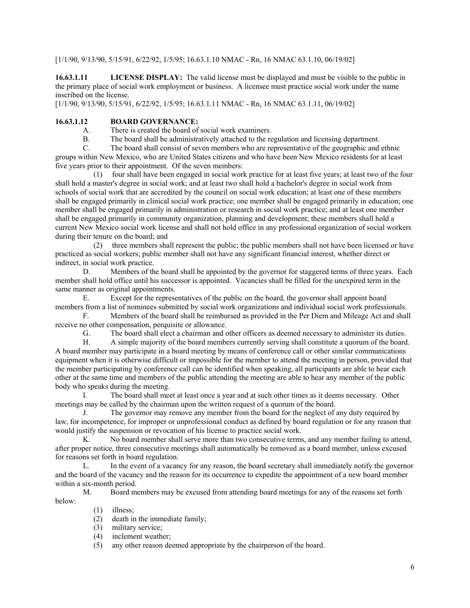[1/1/90, 9/13/90, 5/15/91, 6/22/92, 1/5/95; 16.63.1.10 NMAC - Rn, 16 NMAC 63.1.10, 06/19/02]

**16.63.1.11** LICENSE DISPLAY: The valid license must be displayed and must be visible to the public in the primary place of social work employment or business. A licensee must practice social work under the name inscribed on the license.

[1/1/90, 9/13/90, 5/15/91, 6/22/92, 1/5/95; 16.63.1.11 NMAC - Rn, 16 NMAC 63.1.11, 06/19/02]

# **16.63.1.12 BOARD GOVERNANCE:**

- A. There is created the board of social work examiners.
- B. The board shall be administratively attached to the regulation and licensing department.

 C. The board shall consist of seven members who are representative of the geographic and ethnic groups within New Mexico, who are United States citizens and who have been New Mexico residents for at least five years prior to their appointment. Of the seven members:

 (1) four shall have been engaged in social work practice for at least five years; at least two of the four shall hold a master's degree in social work; and at least two shall hold a bachelor's degree in social work from schools of social work that are accredited by the council on social work education; at least one of these members shall be engaged primarily in clinical social work practice; one member shall be engaged primarily in education; one member shall be engaged primarily in administration or research in social work practice; and at least one member shall be engaged primarily in community organization, planning and development; these members shall hold a current New Mexico social work license and shall not hold office in any professional organization of social workers during their tenure on the board; and

 (2) three members shall represent the public; the public members shall not have been licensed or have practiced as social workers; public member shall not have any significant financial interest, whether direct or indirect, in social work practice.

D. Members of the board shall be appointed by the governor for staggered terms of three years. Each member shall hold office until his successor is appointed. Vacancies shall be filled for the unexpired term in the same manner as original appointments.

 E. Except for the representatives of the public on the board, the governor shall appoint board members from a list of nominees submitted by social work organizations and individual social work professionals.

 F. Members of the board shall be reimbursed as provided in the Per Diem and Mileage Act and shall receive no other compensation, perquisite or allowance.

G. The board shall elect a chairman and other officers as deemed necessary to administer its duties.

 H. A simple majority of the board members currently serving shall constitute a quorum of the board. A board member may participate in a board meeting by means of conference call or other similar communications equipment when it is otherwise difficult or impossible for the member to attend the meeting in person, provided that the member participating by conference call can be identified when speaking, all participants are able to hear each other at the same time and members of the public attending the meeting are able to hear any member of the public body who speaks during the meeting.

 I. The board shall meet at least once a year and at such other times as it deems necessary. Other meetings may be called by the chairman upon the written request of a quorum of the board.

 J. The governor may remove any member from the board for the neglect of any duty required by law, for incompetence, for improper or unprofessional conduct as defined by board regulation or for any reason that would justify the suspension or revocation of his license to practice social work.

 K. No board member shall serve more than two consecutive terms, and any member failing to attend, after proper notice, three consecutive meetings shall automatically be removed as a board member, unless excused for reasons set forth in board regulation.

 L. In the event of a vacancy for any reason, the board secretary shall immediately notify the governor and the board of the vacancy and the reason for its occurrence to expedite the appointment of a new board member within a six-month period.

 M. Board members may be excused from attending board meetings for any of the reasons set forth below:

- (1) illness;
- (2) death in the immediate family;
- (3) military service;
- (4) inclement weather;
- (5) any other reason deemed appropriate by the chairperson of the board.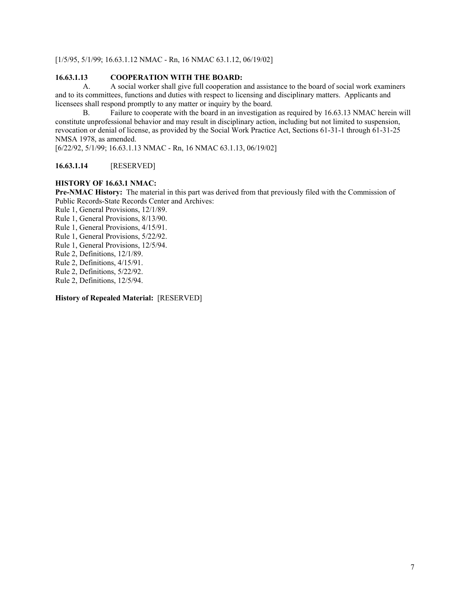[1/5/95, 5/1/99; 16.63.1.12 NMAC - Rn, 16 NMAC 63.1.12, 06/19/02]

# **16.63.1.13 COOPERATION WITH THE BOARD:**

 A. A social worker shall give full cooperation and assistance to the board of social work examiners and to its committees, functions and duties with respect to licensing and disciplinary matters. Applicants and licensees shall respond promptly to any matter or inquiry by the board.

 B. Failure to cooperate with the board in an investigation as required by 16.63.13 NMAC herein will constitute unprofessional behavior and may result in disciplinary action, including but not limited to suspension, revocation or denial of license, as provided by the Social Work Practice Act, Sections 61-31-1 through 61-31-25 NMSA 1978, as amended.

[6/22/92, 5/1/99; 16.63.1.13 NMAC - Rn, 16 NMAC 63.1.13, 06/19/02]

# **16.63.1.14** [RESERVED]

### **HISTORY OF 16.63.1 NMAC:**

**Pre-NMAC History:** The material in this part was derived from that previously filed with the Commission of Public Records-State Records Center and Archives:

Rule 1, General Provisions, 12/1/89.

Rule 1, General Provisions, 8/13/90.

Rule 1, General Provisions, 4/15/91.

- Rule 1, General Provisions, 5/22/92.
- Rule 1, General Provisions, 12/5/94.

Rule 2, Definitions, 12/1/89.

Rule 2, Definitions, 4/15/91.

Rule 2, Definitions, 5/22/92.

Rule 2, Definitions, 12/5/94.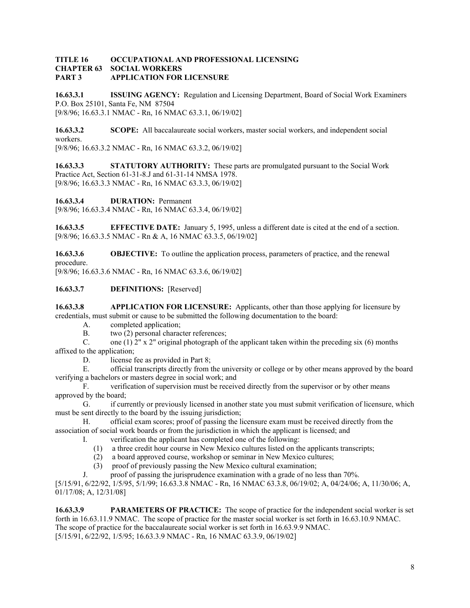# **TITLE 16 OCCUPATIONAL AND PROFESSIONAL LICENSING CHAPTER 63 SOCIAL WORKERS PART 3 APPLICATION FOR LICENSURE**

**16.63.3.1 ISSUING AGENCY:** Regulation and Licensing Department, Board of Social Work Examiners P.O. Box 25101, Santa Fe, NM 87504 [9/8/96; 16.63.3.1 NMAC - Rn, 16 NMAC 63.3.1, 06/19/02]

**16.63.3.2 SCOPE:** All baccalaureate social workers, master social workers, and independent social workers.

[9/8/96; 16.63.3.2 NMAC - Rn, 16 NMAC 63.3.2, 06/19/02]

**16.63.3.3 STATUTORY AUTHORITY:** These parts are promulgated pursuant to the Social Work Practice Act, Section 61-31-8.J and 61-31-14 NMSA 1978. [9/8/96; 16.63.3.3 NMAC - Rn, 16 NMAC 63.3.3, 06/19/02]

**16.63.3.4 DURATION:** Permanent

[9/8/96; 16.63.3.4 NMAC - Rn, 16 NMAC 63.3.4, 06/19/02]

**16.63.3.5 EFFECTIVE DATE:** January 5, 1995, unless a different date is cited at the end of a section. [9/8/96; 16.63.3.5 NMAC - Rn & A, 16 NMAC 63.3.5, 06/19/02]

**16.63.3.6 OBJECTIVE:** To outline the application process, parameters of practice, and the renewal procedure.

[9/8/96; 16.63.3.6 NMAC - Rn, 16 NMAC 63.3.6, 06/19/02]

# **16.63.3.7 DEFINITIONS:** [Reserved]

**16.63.3.8 APPLICATION FOR LICENSURE:** Applicants, other than those applying for licensure by credentials, must submit or cause to be submitted the following documentation to the board:

- A. completed application;
- B. two (2) personal character references;

C. one (1) 2" x 2" original photograph of the applicant taken within the preceding six (6) months affixed to the application;

D. license fee as provided in Part 8;

 E. official transcripts directly from the university or college or by other means approved by the board verifying a bachelors or masters degree in social work; and

 F. verification of supervision must be received directly from the supervisor or by other means approved by the board;

 G. if currently or previously licensed in another state you must submit verification of licensure, which must be sent directly to the board by the issuing jurisdiction;

 H. official exam scores; proof of passing the licensure exam must be received directly from the association of social work boards or from the jurisdiction in which the applicant is licensed; and

- I. verification the applicant has completed one of the following:
	- (1) a three credit hour course in New Mexico cultures listed on the applicants transcripts;
	- (2) a board approved course, workshop or seminar in New Mexico cultures;
	- (3) proof of previously passing the New Mexico cultural examination;

J. proof of passing the jurisprudence examination with a grade of no less than 70%.

[5/15/91, 6/22/92, 1/5/95, 5/1/99; 16.63.3.8 NMAC - Rn, 16 NMAC 63.3.8, 06/19/02; A, 04/24/06; A, 11/30/06; A, 01/17/08; A, 12/31/08]

**16.63.3.9 PARAMETERS OF PRACTICE:** The scope of practice for the independent social worker is set forth in 16.63.11.9 NMAC. The scope of practice for the master social worker is set forth in 16.63.10.9 NMAC. The scope of practice for the baccalaureate social worker is set forth in 16.63.9.9 NMAC. [5/15/91, 6/22/92, 1/5/95; 16.63.3.9 NMAC - Rn, 16 NMAC 63.3.9, 06/19/02]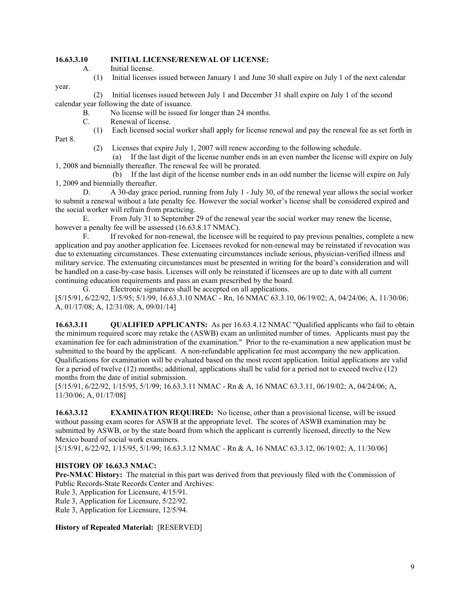## **16.63.3.10 INITIAL LICENSE/RENEWAL OF LICENSE:**

A. Initial license.

(1) Initial licenses issued between January 1 and June 30 shall expire on July 1 of the next calendar

year.

Part 8.

 (2) Initial licenses issued between July 1 and December 31 shall expire on July 1 of the second calendar year following the date of issuance.

B. No license will be issued for longer than 24 months.

- C. Renewal of license.
- (1) Each licensed social worker shall apply for license renewal and pay the renewal fee as set forth in
	- (2) Licenses that expire July 1, 2007 will renew according to the following schedule.

 (a) If the last digit of the license number ends in an even number the license will expire on July 1, 2008 and biennially thereafter. The renewal fee will be prorated.

 (b) If the last digit of the license number ends in an odd number the license will expire on July 1, 2009 and biennially thereafter.

 D. A 30-day grace period, running from July 1 - July 30, of the renewal year allows the social worker to submit a renewal without a late penalty fee. However the social worker's license shall be considered expired and the social worker will refrain from practicing.

 E. From July 31 to September 29 of the renewal year the social worker may renew the license, however a penalty fee will be assessed (16.63.8.17 NMAC).

 F. If revoked for non-renewal, the licensee will be required to pay previous penalties, complete a new application and pay another application fee. Licensees revoked for non-renewal may be reinstated if revocation was due to extenuating circumstances. These extenuating circumstances include serious, physician-verified illness and military service. The extenuating circumstances must be presented in writing for the board's consideration and will be handled on a case-by-case basis. Licenses will only be reinstated if licensees are up to date with all current continuing education requirements and pass an exam prescribed by the board.

G. Electronic signatures shall be accepted on all applications.

[5/15/91, 6/22/92, 1/5/95; 5/1/99, 16.63.3.10 NMAC - Rn, 16 NMAC 63.3.10, 06/19/02; A, 04/24/06; A, 11/30/06; A, 01/17/08; A, 12/31/08; A, 09/01/14]

**16.63.3.11 QUALIFIED APPLICANTS:** As per 16.63.4.12 NMAC "Qualified applicants who fail to obtain the minimum required score may retake the (ASWB) exam an unlimited number of times. Applicants must pay the examination fee for each administration of the examination." Prior to the re-examination a new application must be submitted to the board by the applicant. A non-refundable application fee must accompany the new application. Qualifications for examination will be evaluated based on the most recent application. Initial applications are valid for a period of twelve (12) months; additional, applications shall be valid for a period not to exceed twelve (12) months from the date of initial submission.

[5/15/91, 6/22/92, 1/15/95, 5/1/99; 16.63.3.11 NMAC - Rn & A, 16 NMAC 63.3.11, 06/19/02; A, 04/24/06; A, 11/30/06; A, 01/17/08]

**16.63.3.12 EXAMINATION REQUIRED:** No license, other than a provisional license, will be issued without passing exam scores for ASWB at the appropriate level. The scores of ASWB examination may be submitted by ASWB, or by the state board from which the applicant is currently licensed, directly to the New Mexico board of social work examiners.

[5/15/91, 6/22/92, 1/15/95, 5/1/99; 16.63.3.12 NMAC - Rn & A, 16 NMAC 63.3.12, 06/19/02; A, 11/30/06]

# **HISTORY OF 16.63.3 NMAC:**

**Pre-NMAC History:** The material in this part was derived from that previously filed with the Commission of Public Records-State Records Center and Archives:

Rule 3, Application for Licensure, 4/15/91.

Rule 3, Application for Licensure, 5/22/92.

Rule 3, Application for Licensure, 12/5/94.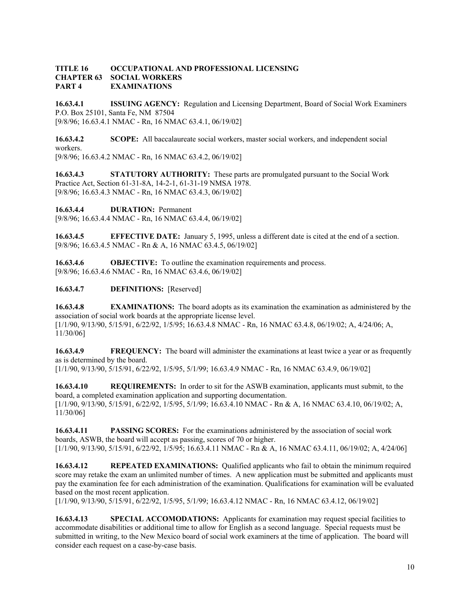# **TITLE 16 OCCUPATIONAL AND PROFESSIONAL LICENSING CHAPTER 63 SOCIAL WORKERS PART 4 EXAMINATIONS**

**16.63.4.1 ISSUING AGENCY:** Regulation and Licensing Department, Board of Social Work Examiners P.O. Box 25101, Santa Fe, NM 87504 [9/8/96; 16.63.4.1 NMAC - Rn, 16 NMAC 63.4.1, 06/19/02]

**16.63.4.2 SCOPE:** All baccalaureate social workers, master social workers, and independent social workers.

[9/8/96; 16.63.4.2 NMAC - Rn, 16 NMAC 63.4.2, 06/19/02]

**16.63.4.3 STATUTORY AUTHORITY:** These parts are promulgated pursuant to the Social Work Practice Act, Section 61-31-8A, 14-2-1, 61-31-19 NMSA 1978. [9/8/96; 16.63.4.3 NMAC - Rn, 16 NMAC 63.4.3, 06/19/02]

**16.63.4.4 DURATION:** Permanent

[9/8/96; 16.63.4.4 NMAC - Rn, 16 NMAC 63.4.4, 06/19/02]

**16.63.4.5 EFFECTIVE DATE:** January 5, 1995, unless a different date is cited at the end of a section. [9/8/96; 16.63.4.5 NMAC - Rn & A, 16 NMAC 63.4.5, 06/19/02]

**16.63.4.6 OBJECTIVE:** To outline the examination requirements and process. [9/8/96; 16.63.4.6 NMAC - Rn, 16 NMAC 63.4.6, 06/19/02]

**16.63.4.7 DEFINITIONS:** [Reserved]

**16.63.4.8 EXAMINATIONS:** The board adopts as its examination the examination as administered by the association of social work boards at the appropriate license level. [1/1/90, 9/13/90, 5/15/91, 6/22/92, 1/5/95; 16.63.4.8 NMAC - Rn, 16 NMAC 63.4.8, 06/19/02; A, 4/24/06; A, 11/30/06]

**16.63.4.9 FREQUENCY:** The board will administer the examinations at least twice a year or as frequently as is determined by the board.

[1/1/90, 9/13/90, 5/15/91, 6/22/92, 1/5/95, 5/1/99; 16.63.4.9 NMAC - Rn, 16 NMAC 63.4.9, 06/19/02]

**16.63.4.10 REQUIREMENTS:** In order to sit for the ASWB examination, applicants must submit, to the board, a completed examination application and supporting documentation. [1/1/90, 9/13/90, 5/15/91, 6/22/92, 1/5/95, 5/1/99; 16.63.4.10 NMAC - Rn & A, 16 NMAC 63.4.10, 06/19/02; A, 11/30/06]

**16.63.4.11** PASSING SCORES: For the examinations administered by the association of social work boards, ASWB, the board will accept as passing, scores of 70 or higher. [1/1/90, 9/13/90, 5/15/91, 6/22/92, 1/5/95; 16.63.4.11 NMAC - Rn & A, 16 NMAC 63.4.11, 06/19/02; A, 4/24/06]

**16.63.4.12 REPEATED EXAMINATIONS:** Qualified applicants who fail to obtain the minimum required score may retake the exam an unlimited number of times. A new application must be submitted and applicants must pay the examination fee for each administration of the examination. Qualifications for examination will be evaluated based on the most recent application.

[1/1/90, 9/13/90, 5/15/91, 6/22/92, 1/5/95, 5/1/99; 16.63.4.12 NMAC - Rn, 16 NMAC 63.4.12, 06/19/02]

**16.63.4.13 SPECIAL ACCOMODATIONS:** Applicants for examination may request special facilities to accommodate disabilities or additional time to allow for English as a second language. Special requests must be submitted in writing, to the New Mexico board of social work examiners at the time of application. The board will consider each request on a case-by-case basis.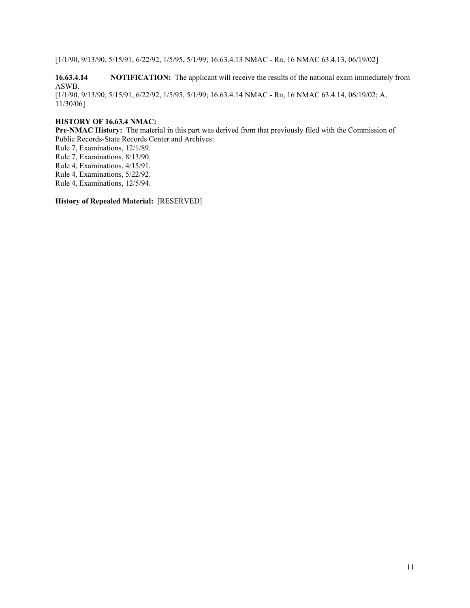[1/1/90, 9/13/90, 5/15/91, 6/22/92, 1/5/95, 5/1/99; 16.63.4.13 NMAC - Rn, 16 NMAC 63.4.13, 06/19/02]

**16.63.4.14** NOTIFICATION: The applicant will receive the results of the national exam immediately from ASWB. [1/1/90, 9/13/90, 5/15/91, 6/22/92, 1/5/95, 5/1/99; 16.63.4.14 NMAC - Rn, 16 NMAC 63.4.14, 06/19/02; A, 11/30/06]

# **HISTORY OF 16.63.4 NMAC:**

**Pre-NMAC History:** The material in this part was derived from that previously filed with the Commission of Public Records-State Records Center and Archives:

Rule 7, Examinations, 12/1/89.

Rule 7, Examinations, 8/13/90.

Rule 4, Examinations, 4/15/91.

Rule 4, Examinations, 5/22/92.

Rule 4, Examinations, 12/5/94.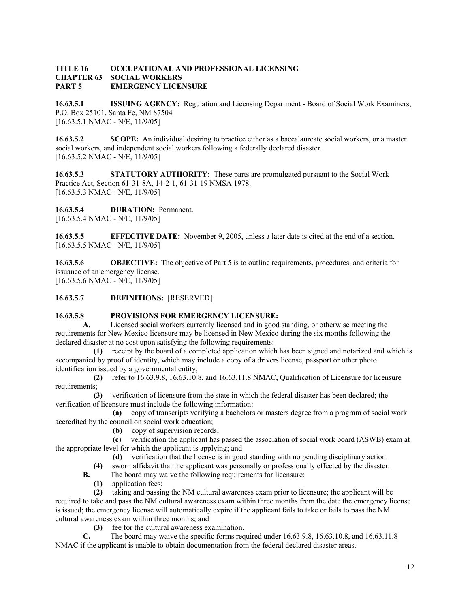# **TITLE 16 OCCUPATIONAL AND PROFESSIONAL LICENSING CHAPTER 63 SOCIAL WORKERS PART 5 EMERGENCY LICENSURE**

**16.63.5.1 ISSUING AGENCY:** Regulation and Licensing Department - Board of Social Work Examiners, P.O. Box 25101, Santa Fe, NM 87504 [16.63.5.1 NMAC - N/E, 11/9/05]

**16.63.5.2 SCOPE:** An individual desiring to practice either as a baccalaureate social workers, or a master social workers, and independent social workers following a federally declared disaster. [16.63.5.2 NMAC - N/E, 11/9/05]

**16.63.5.3 STATUTORY AUTHORITY:** These parts are promulgated pursuant to the Social Work Practice Act, Section 61-31-8A, 14-2-1, 61-31-19 NMSA 1978. [16.63.5.3 NMAC - N/E, 11/9/05]

**16.63.5.4 DURATION:** Permanent.

[16.63.5.4 NMAC - N/E, 11/9/05]

**16.63.5.5 EFFECTIVE DATE:** November 9, 2005, unless a later date is cited at the end of a section. [16.63.5.5 NMAC - N/E, 11/9/05]

**16.63.5.6 OBJECTIVE:** The objective of Part 5 is to outline requirements, procedures, and criteria for issuance of an emergency license. [16.63.5.6 NMAC - N/E, 11/9/05]

**16.63.5.7 DEFINITIONS: [RESERVED]** 

# **16.63.5.8 PROVISIONS FOR EMERGENCY LICENSURE:**

 **A.** Licensed social workers currently licensed and in good standing, or otherwise meeting the requirements for New Mexico licensure may be licensed in New Mexico during the six months following the declared disaster at no cost upon satisfying the following requirements:

 **(1)** receipt by the board of a completed application which has been signed and notarized and which is accompanied by proof of identity, which may include a copy of a drivers license, passport or other photo identification issued by a governmental entity;

 **(2)** refer to 16.63.9.8, 16.63.10.8, and 16.63.11.8 NMAC, Qualification of Licensure for licensure requirements;

 **(3)** verification of licensure from the state in which the federal disaster has been declared; the verification of licensure must include the following information:

 **(a)** copy of transcripts verifying a bachelors or masters degree from a program of social work accredited by the council on social work education;

**(b)** copy of supervision records;

 **(c)** verification the applicant has passed the association of social work board (ASWB) exam at the appropriate level for which the applicant is applying; and

**(d)** verification that the license is in good standing with no pending disciplinary action.

**(4)** sworn affidavit that the applicant was personally or professionally effected by the disaster.

**B.** The board may waive the following requirements for licensure:

**(1)** application fees;

 **(2)** taking and passing the NM cultural awareness exam prior to licensure; the applicant will be required to take and pass the NM cultural awareness exam within three months from the date the emergency license is issued; the emergency license will automatically expire if the applicant fails to take or fails to pass the NM cultural awareness exam within three months; and

**(3)** fee for the cultural awareness examination.

**C.** The board may waive the specific forms required under 16.63.9.8, 16.63.10.8, and 16.63.11.8 NMAC if the applicant is unable to obtain documentation from the federal declared disaster areas.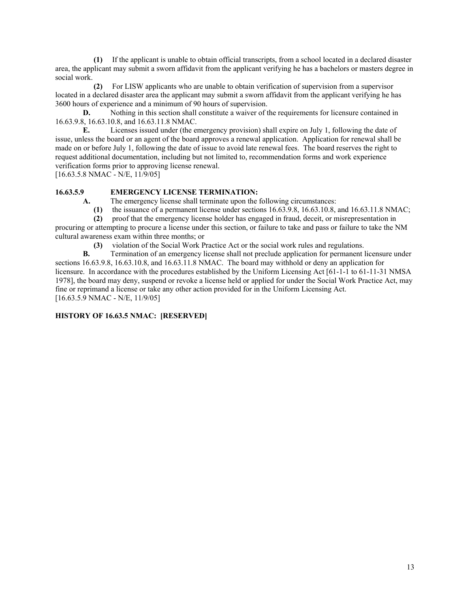**(1)** If the applicant is unable to obtain official transcripts, from a school located in a declared disaster area, the applicant may submit a sworn affidavit from the applicant verifying he has a bachelors or masters degree in social work.

 **(2)** For LISW applicants who are unable to obtain verification of supervision from a supervisor located in a declared disaster area the applicant may submit a sworn affidavit from the applicant verifying he has 3600 hours of experience and a minimum of 90 hours of supervision.

**D.** Nothing in this section shall constitute a waiver of the requirements for licensure contained in 16.63.9.8, 16.63.10.8, and 16.63.11.8 NMAC.

**E.** Licenses issued under (the emergency provision) shall expire on July 1, following the date of issue, unless the board or an agent of the board approves a renewal application. Application for renewal shall be made on or before July 1, following the date of issue to avoid late renewal fees. The board reserves the right to request additional documentation, including but not limited to, recommendation forms and work experience verification forms prior to approving license renewal.

[16.63.5.8 NMAC - N/E, 11/9/05]

# **16.63.5.9 EMERGENCY LICENSE TERMINATION:**

**A.** The emergency license shall terminate upon the following circumstances:

**(1)** the issuance of a permanent license under sections 16.63.9.8, 16.63.10.8, and 16.63.11.8 NMAC;

 **(2)** proof that the emergency license holder has engaged in fraud, deceit, or misrepresentation in procuring or attempting to procure a license under this section, or failure to take and pass or failure to take the NM cultural awareness exam within three months; or

**(3)** violation of the Social Work Practice Act or the social work rules and regulations.

**B. Termination of an emergency license shall not preclude application for permanent licensure under** sections 16.63.9.8, 16.63.10.8, and 16.63.11.8 NMAC. The board may withhold or deny an application for licensure. In accordance with the procedures established by the Uniform Licensing Act [61-1-1 to 61-11-31 NMSA 1978], the board may deny, suspend or revoke a license held or applied for under the Social Work Practice Act, may fine or reprimand a license or take any other action provided for in the Uniform Licensing Act. [16.63.5.9 NMAC - N/E, 11/9/05]

# **HISTORY OF 16.63.5 NMAC: [RESERVED]**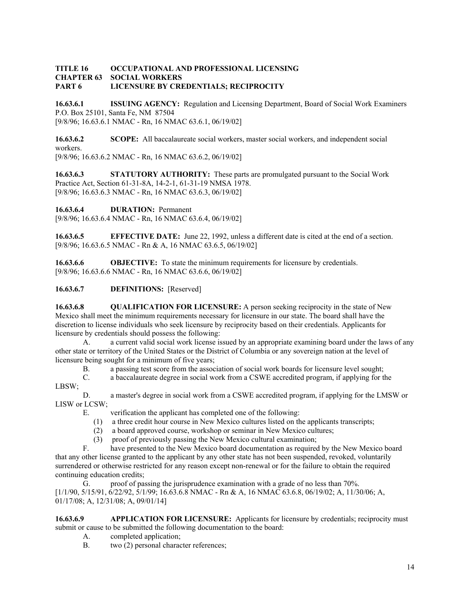### **TITLE 16 OCCUPATIONAL AND PROFESSIONAL LICENSING CHAPTER 63 SOCIAL WORKERS PART 6 LICENSURE BY CREDENTIALS; RECIPROCITY**

**16.63.6.1 ISSUING AGENCY:** Regulation and Licensing Department, Board of Social Work Examiners P.O. Box 25101, Santa Fe, NM 87504 [9/8/96; 16.63.6.1 NMAC - Rn, 16 NMAC 63.6.1, 06/19/02]

**16.63.6.2 SCOPE:** All baccalaureate social workers, master social workers, and independent social workers.

[9/8/96; 16.63.6.2 NMAC - Rn, 16 NMAC 63.6.2, 06/19/02]

**16.63.6.3 STATUTORY AUTHORITY:** These parts are promulgated pursuant to the Social Work Practice Act, Section 61-31-8A, 14-2-1, 61-31-19 NMSA 1978. [9/8/96; 16.63.6.3 NMAC - Rn, 16 NMAC 63.6.3, 06/19/02]

**16.63.6.4 DURATION:** Permanent

[9/8/96; 16.63.6.4 NMAC - Rn, 16 NMAC 63.6.4, 06/19/02]

**16.63.6.5 EFFECTIVE DATE:** June 22, 1992, unless a different date is cited at the end of a section. [9/8/96; 16.63.6.5 NMAC - Rn & A, 16 NMAC 63.6.5, 06/19/02]

**16.63.6.6 OBJECTIVE:** To state the minimum requirements for licensure by credentials. [9/8/96; 16.63.6.6 NMAC - Rn, 16 NMAC 63.6.6, 06/19/02]

**16.63.6.7 DEFINITIONS:** [Reserved]

**16.63.6.8** QUALIFICATION FOR LICENSURE: A person seeking reciprocity in the state of New Mexico shall meet the minimum requirements necessary for licensure in our state. The board shall have the discretion to license individuals who seek licensure by reciprocity based on their credentials. Applicants for licensure by credentials should possess the following:

 A. a current valid social work license issued by an appropriate examining board under the laws of any other state or territory of the United States or the District of Columbia or any sovereign nation at the level of licensure being sought for a minimum of five years;

B. a passing test score from the association of social work boards for licensure level sought;

C. a baccalaureate degree in social work from a CSWE accredited program, if applying for the

LBSW;

 D. a master's degree in social work from a CSWE accredited program, if applying for the LMSW or LISW or LCSW;

E. verification the applicant has completed one of the following:

- (1) a three credit hour course in New Mexico cultures listed on the applicants transcripts;
- (2) a board approved course, workshop or seminar in New Mexico cultures;
- (3) proof of previously passing the New Mexico cultural examination;

 F. have presented to the New Mexico board documentation as required by the New Mexico board that any other license granted to the applicant by any other state has not been suspended, revoked, voluntarily surrendered or otherwise restricted for any reason except non-renewal or for the failure to obtain the required continuing education credits;

 G. proof of passing the jurisprudence examination with a grade of no less than 70%. [1/1/90, 5/15/91, 6/22/92, 5/1/99; 16.63.6.8 NMAC - Rn & A, 16 NMAC 63.6.8, 06/19/02; A, 11/30/06; A, 01/17/08; A, 12/31/08; A, 09/01/14]

**16.63.6.9 APPLICATION FOR LICENSURE:** Applicants for licensure by credentials; reciprocity must submit or cause to be submitted the following documentation to the board:

- A. completed application;
- B. two (2) personal character references;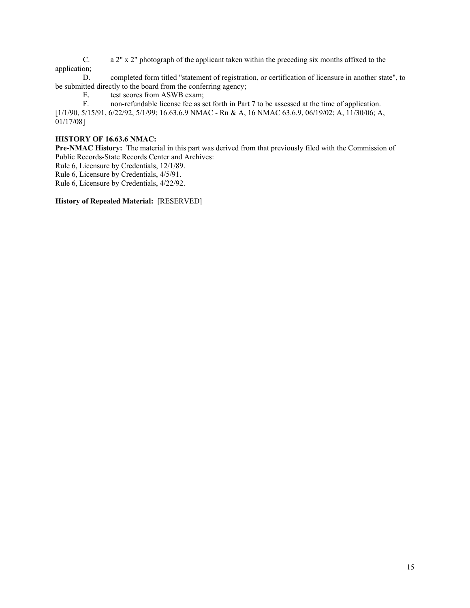C. a 2" x 2" photograph of the applicant taken within the preceding six months affixed to the application;

 D. completed form titled "statement of registration, or certification of licensure in another state", to be submitted directly to the board from the conferring agency;

E. test scores from ASWB exam;

F. non-refundable license fee as set forth in Part 7 to be assessed at the time of application.

[1/1/90, 5/15/91, 6/22/92, 5/1/99; 16.63.6.9 NMAC - Rn & A, 16 NMAC 63.6.9, 06/19/02; A, 11/30/06; A, 01/17/08]

# **HISTORY OF 16.63.6 NMAC:**

**Pre-NMAC History:** The material in this part was derived from that previously filed with the Commission of Public Records-State Records Center and Archives:

Rule 6, Licensure by Credentials, 12/1/89.

Rule 6, Licensure by Credentials, 4/5/91.

Rule 6, Licensure by Credentials, 4/22/92.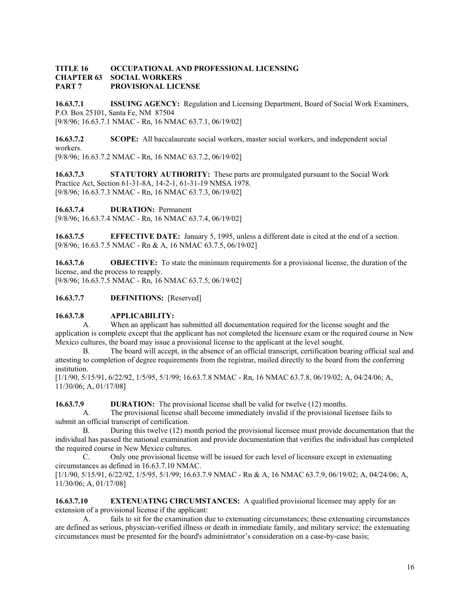# **TITLE 16 OCCUPATIONAL AND PROFESSIONAL LICENSING CHAPTER 63 SOCIAL WORKERS PART 7 PROVISIONAL LICENSE**

**16.63.7.1 ISSUING AGENCY:** Regulation and Licensing Department, Board of Social Work Examiners, P.O. Box 25101, Santa Fe, NM 87504 [9/8/96; 16.63.7.1 NMAC - Rn, 16 NMAC 63.7.1, 06/19/02]

**16.63.7.2 SCOPE:** All baccalaureate social workers, master social workers, and independent social workers.

[9/8/96; 16.63.7.2 NMAC - Rn, 16 NMAC 63.7.2, 06/19/02]

**16.63.7.3 STATUTORY AUTHORITY:** These parts are promulgated pursuant to the Social Work Practice Act, Section 61-31-8A, 14-2-1, 61-31-19 NMSA 1978. [9/8/96; 16.63.7.3 NMAC - Rn, 16 NMAC 63.7.3, 06/19/02]

**16.63.7.4 DURATION:** Permanent

[9/8/96; 16.63.7.4 NMAC - Rn, 16 NMAC 63.7.4, 06/19/02]

**16.63.7.5 EFFECTIVE DATE:** January 5, 1995, unless a different date is cited at the end of a section. [9/8/96; 16.63.7.5 NMAC - Rn & A, 16 NMAC 63.7.5, 06/19/02]

**16.63.7.6 OBJECTIVE:** To state the minimum requirements for a provisional license, the duration of the license, and the process to reapply.

[9/8/96; 16.63.7.5 NMAC - Rn, 16 NMAC 63.7.5, 06/19/02]

**16.63.7.7 DEFINITIONS:** [Reserved]

# **16.63.7.8 APPLICABILITY:**

 A. When an applicant has submitted all documentation required for the license sought and the application is complete except that the applicant has not completed the licensure exam or the required course in New Mexico cultures, the board may issue a provisional license to the applicant at the level sought.

 B. The board will accept, in the absence of an official transcript, certification bearing official seal and attesting to completion of degree requirements from the registrar, mailed directly to the board from the conferring institution.

[1/1/90, 5/15/91, 6/22/92, 1/5/95, 5/1/99; 16.63.7.8 NMAC - Rn, 16 NMAC 63.7.8, 06/19/02; A, 04/24/06; A, 11/30/06; A, 01/17/08]

**16.63.7.9 DURATION:** The provisional license shall be valid for twelve (12) months.

 A. The provisional license shall become immediately invalid if the provisional licensee fails to submit an official transcript of certification.

 B. During this twelve (12) month period the provisional licensee must provide documentation that the individual has passed the national examination and provide documentation that verifies the individual has completed the required course in New Mexico cultures.<br>C. Only one provisional license

 C. Only one provisional license will be issued for each level of licensure except in extenuating circumstances as defined in 16.63.7.10 NMAC.

[1/1/90, 5/15/91, 6/22/92, 1/5/95, 5/1/99; 16.63.7.9 NMAC - Rn & A, 16 NMAC 63.7.9, 06/19/02; A, 04/24/06; A, 11/30/06; A, 01/17/08]

**16.63.7.10 EXTENUATING CIRCUMSTANCES:** A qualified provisional licensee may apply for an extension of a provisional license if the applicant:

 A. fails to sit for the examination due to extenuating circumstances; these extenuating circumstances are defined as serious, physician-verified illness or death in immediate family, and military service; the extenuating circumstances must be presented for the board's administrator's consideration on a case-by-case basis;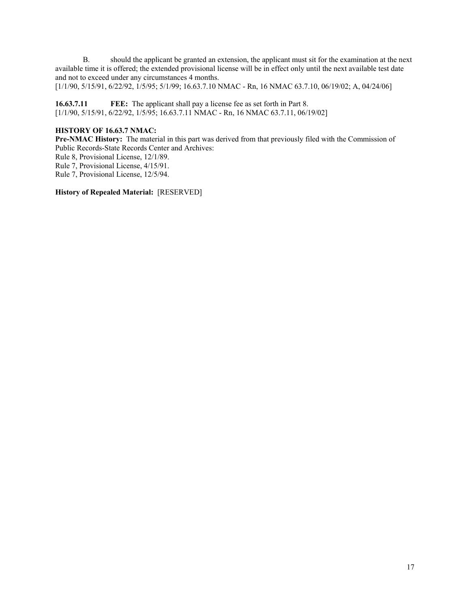B. should the applicant be granted an extension, the applicant must sit for the examination at the next available time it is offered; the extended provisional license will be in effect only until the next available test date and not to exceed under any circumstances 4 months.

[1/1/90, 5/15/91, 6/22/92, 1/5/95; 5/1/99; 16.63.7.10 NMAC - Rn, 16 NMAC 63.7.10, 06/19/02; A, 04/24/06]

**16.63.7.11 FEE:** The applicant shall pay a license fee as set forth in Part 8. [1/1/90, 5/15/91, 6/22/92, 1/5/95; 16.63.7.11 NMAC - Rn, 16 NMAC 63.7.11, 06/19/02]

# **HISTORY OF 16.63.7 NMAC:**

**Pre-NMAC History:** The material in this part was derived from that previously filed with the Commission of Public Records-State Records Center and Archives:

Rule 8, Provisional License, 12/1/89.

Rule 7, Provisional License, 4/15/91.

Rule 7, Provisional License, 12/5/94.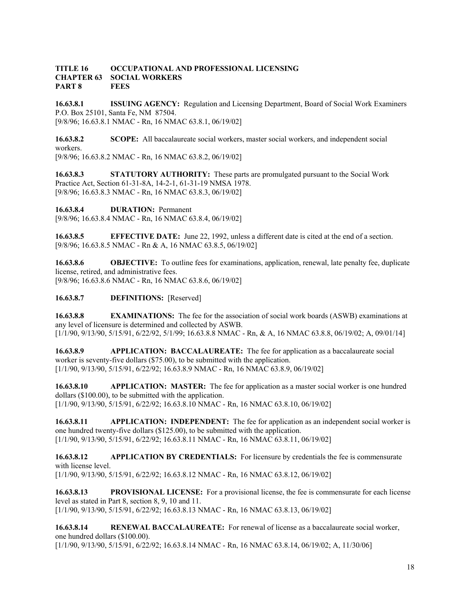#### **TITLE 16 OCCUPATIONAL AND PROFESSIONAL LICENSING CHAPTER 63 SOCIAL WORKERS PART 8 FEES**

**16.63.8.1 ISSUING AGENCY:** Regulation and Licensing Department, Board of Social Work Examiners P.O. Box 25101, Santa Fe, NM 87504. [9/8/96; 16.63.8.1 NMAC - Rn, 16 NMAC 63.8.1, 06/19/02]

**16.63.8.2 SCOPE:** All baccalaureate social workers, master social workers, and independent social workers.

[9/8/96; 16.63.8.2 NMAC - Rn, 16 NMAC 63.8.2, 06/19/02]

**16.63.8.3 STATUTORY AUTHORITY:** These parts are promulgated pursuant to the Social Work Practice Act, Section 61-31-8A, 14-2-1, 61-31-19 NMSA 1978. [9/8/96; 16.63.8.3 NMAC - Rn, 16 NMAC 63.8.3, 06/19/02]

**16.63.8.4 DURATION:** Permanent

[9/8/96; 16.63.8.4 NMAC - Rn, 16 NMAC 63.8.4, 06/19/02]

**16.63.8.5 EFFECTIVE DATE:** June 22, 1992, unless a different date is cited at the end of a section. [9/8/96; 16.63.8.5 NMAC - Rn & A, 16 NMAC 63.8.5, 06/19/02]

**16.63.8.6 OBJECTIVE:** To outline fees for examinations, application, renewal, late penalty fee, duplicate license, retired, and administrative fees.

[9/8/96; 16.63.8.6 NMAC - Rn, 16 NMAC 63.8.6, 06/19/02]

**16.63.8.7 DEFINITIONS:** [Reserved]

**16.63.8.8 EXAMINATIONS:** The fee for the association of social work boards (ASWB) examinations at any level of licensure is determined and collected by ASWB. [1/1/90, 9/13/90, 5/15/91, 6/22/92, 5/1/99; 16.63.8.8 NMAC - Rn, & A, 16 NMAC 63.8.8, 06/19/02; A, 09/01/14]

**16.63.8.9 APPLICATION: BACCALAUREATE:** The fee for application as a baccalaureate social worker is seventy-five dollars (\$75.00), to be submitted with the application. [1/1/90, 9/13/90, 5/15/91, 6/22/92; 16.63.8.9 NMAC - Rn, 16 NMAC 63.8.9, 06/19/02]

**16.63.8.10 APPLICATION: MASTER:** The fee for application as a master social worker is one hundred dollars (\$100.00), to be submitted with the application. [1/1/90, 9/13/90, 5/15/91, 6/22/92; 16.63.8.10 NMAC - Rn, 16 NMAC 63.8.10, 06/19/02]

**16.63.8.11** APPLICATION: **INDEPENDENT:** The fee for application as an independent social worker is one hundred twenty-five dollars (\$125.00), to be submitted with the application. [1/1/90, 9/13/90, 5/15/91, 6/22/92; 16.63.8.11 NMAC - Rn, 16 NMAC 63.8.11, 06/19/02]

**16.63.8.12** APPLICATION BY CREDENTIALS: For licensure by credentials the fee is commensurate with license level. [1/1/90, 9/13/90, 5/15/91, 6/22/92; 16.63.8.12 NMAC - Rn, 16 NMAC 63.8.12, 06/19/02]

**16.63.8.13 PROVISIONAL LICENSE:** For a provisional license, the fee is commensurate for each license level as stated in Part 8, section 8, 9, 10 and 11. [1/1/90, 9/13/90, 5/15/91, 6/22/92; 16.63.8.13 NMAC - Rn, 16 NMAC 63.8.13, 06/19/02]

**16.63.8.14 RENEWAL BACCALAUREATE:** For renewal of license as a baccalaureate social worker, one hundred dollars (\$100.00).

[1/1/90, 9/13/90, 5/15/91, 6/22/92; 16.63.8.14 NMAC - Rn, 16 NMAC 63.8.14, 06/19/02; A, 11/30/06]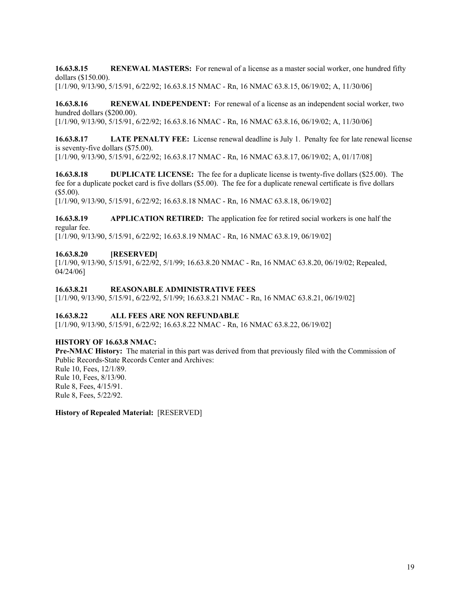**16.63.8.15** RENEWAL MASTERS: For renewal of a license as a master social worker, one hundred fifty dollars (\$150.00).

[1/1/90, 9/13/90, 5/15/91, 6/22/92; 16.63.8.15 NMAC - Rn, 16 NMAC 63.8.15, 06/19/02; A, 11/30/06]

**16.63.8.16 RENEWAL INDEPENDENT:** For renewal of a license as an independent social worker, two hundred dollars (\$200.00).

[1/1/90, 9/13/90, 5/15/91, 6/22/92; 16.63.8.16 NMAC - Rn, 16 NMAC 63.8.16, 06/19/02; A, 11/30/06]

**16.63.8.17 LATE PENALTY FEE:** License renewal deadline is July 1. Penalty fee for late renewal license is seventy-five dollars (\$75.00).

[1/1/90, 9/13/90, 5/15/91, 6/22/92; 16.63.8.17 NMAC - Rn, 16 NMAC 63.8.17, 06/19/02; A, 01/17/08]

**16.63.8.18 DUPLICATE LICENSE:** The fee for a duplicate license is twenty-five dollars (\$25.00). The fee for a duplicate pocket card is five dollars (\$5.00). The fee for a duplicate renewal certificate is five dollars  $($5.00)$ .

[1/1/90, 9/13/90, 5/15/91, 6/22/92; 16.63.8.18 NMAC - Rn, 16 NMAC 63.8.18, 06/19/02]

**16.63.8.19 APPLICATION RETIRED:** The application fee for retired social workers is one half the regular fee.

[1/1/90, 9/13/90, 5/15/91, 6/22/92; 16.63.8.19 NMAC - Rn, 16 NMAC 63.8.19, 06/19/02]

### **16.63.8.20 [RESERVED]**

[1/1/90, 9/13/90, 5/15/91, 6/22/92, 5/1/99; 16.63.8.20 NMAC - Rn, 16 NMAC 63.8.20, 06/19/02; Repealed, 04/24/06]

# **16.63.8.21 REASONABLE ADMINISTRATIVE FEES**

[1/1/90, 9/13/90, 5/15/91, 6/22/92, 5/1/99; 16.63.8.21 NMAC - Rn, 16 NMAC 63.8.21, 06/19/02]

#### **16.63.8.22 ALL FEES ARE NON REFUNDABLE**

[1/1/90, 9/13/90, 5/15/91, 6/22/92; 16.63.8.22 NMAC - Rn, 16 NMAC 63.8.22, 06/19/02]

# **HISTORY OF 16.63.8 NMAC:**

**Pre-NMAC History:** The material in this part was derived from that previously filed with the Commission of Public Records-State Records Center and Archives:

Rule 10, Fees, 12/1/89. Rule 10, Fees, 8/13/90. Rule 8, Fees, 4/15/91. Rule 8, Fees, 5/22/92.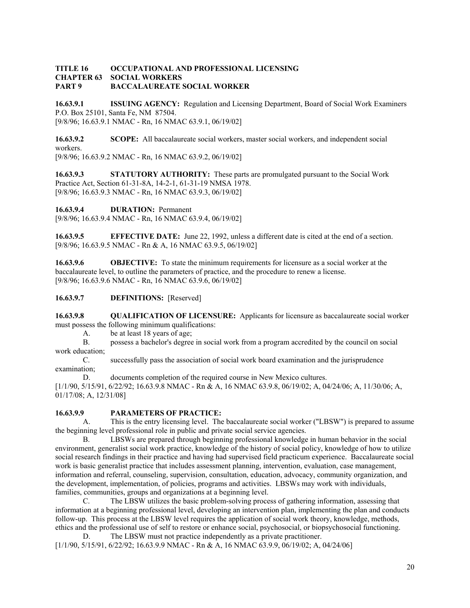### **TITLE 16 OCCUPATIONAL AND PROFESSIONAL LICENSING CHAPTER 63 SOCIAL WORKERS PART 9 BACCALAUREATE SOCIAL WORKER**

**16.63.9.1 ISSUING AGENCY:** Regulation and Licensing Department, Board of Social Work Examiners P.O. Box 25101, Santa Fe, NM 87504. [9/8/96; 16.63.9.1 NMAC - Rn, 16 NMAC 63.9.1, 06/19/02]

**16.63.9.2 SCOPE:** All baccalaureate social workers, master social workers, and independent social workers.

[9/8/96; 16.63.9.2 NMAC - Rn, 16 NMAC 63.9.2, 06/19/02]

**16.63.9.3 STATUTORY AUTHORITY:** These parts are promulgated pursuant to the Social Work Practice Act, Section 61-31-8A, 14-2-1, 61-31-19 NMSA 1978. [9/8/96; 16.63.9.3 NMAC - Rn, 16 NMAC 63.9.3, 06/19/02]

**16.63.9.4 DURATION:** Permanent

[9/8/96; 16.63.9.4 NMAC - Rn, 16 NMAC 63.9.4, 06/19/02]

**16.63.9.5 EFFECTIVE DATE:** June 22, 1992, unless a different date is cited at the end of a section. [9/8/96; 16.63.9.5 NMAC - Rn & A, 16 NMAC 63.9.5, 06/19/02]

**16.63.9.6 OBJECTIVE:** To state the minimum requirements for licensure as a social worker at the baccalaureate level, to outline the parameters of practice, and the procedure to renew a license. [9/8/96; 16.63.9.6 NMAC - Rn, 16 NMAC 63.9.6, 06/19/02]

**16.63.9.7 DEFINITIONS:** [Reserved]

**16.63.9.8 QUALIFICATION OF LICENSURE:** Applicants for licensure as baccalaureate social worker must possess the following minimum qualifications:

A. be at least 18 years of age;

 B. possess a bachelor's degree in social work from a program accredited by the council on social work education;

 C. successfully pass the association of social work board examination and the jurisprudence examination;

D. documents completion of the required course in New Mexico cultures.

[1/1/90, 5/15/91, 6/22/92; 16.63.9.8 NMAC - Rn & A, 16 NMAC 63.9.8, 06/19/02; A, 04/24/06; A, 11/30/06; A, 01/17/08; A, 12/31/08]

# **16.63.9.9 PARAMETERS OF PRACTICE:**

 A. This is the entry licensing level. The baccalaureate social worker ("LBSW") is prepared to assume the beginning level professional role in public and private social service agencies.

 B. LBSWs are prepared through beginning professional knowledge in human behavior in the social environment, generalist social work practice, knowledge of the history of social policy, knowledge of how to utilize social research findings in their practice and having had supervised field practicum experience. Baccalaureate social work is basic generalist practice that includes assessment planning, intervention, evaluation, case management, information and referral, counseling, supervision, consultation, education, advocacy, community organization, and the development, implementation, of policies, programs and activities. LBSWs may work with individuals, families, communities, groups and organizations at a beginning level.

 C. The LBSW utilizes the basic problem-solving process of gathering information, assessing that information at a beginning professional level, developing an intervention plan, implementing the plan and conducts follow-up. This process at the LBSW level requires the application of social work theory, knowledge, methods, ethics and the professional use of self to restore or enhance social, psychosocial, or biopsychosocial functioning.

 D. The LBSW must not practice independently as a private practitioner. [1/1/90, 5/15/91, 6/22/92; 16.63.9.9 NMAC - Rn & A, 16 NMAC 63.9.9, 06/19/02; A, 04/24/06]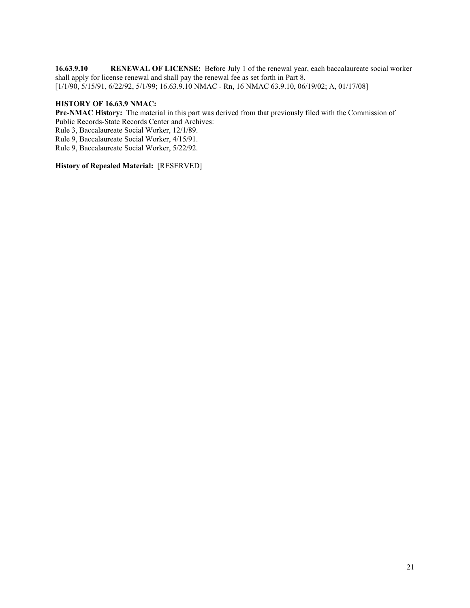**16.63.9.10 RENEWAL OF LICENSE:** Before July 1 of the renewal year, each baccalaureate social worker shall apply for license renewal and shall pay the renewal fee as set forth in Part 8. [1/1/90, 5/15/91, 6/22/92, 5/1/99; 16.63.9.10 NMAC - Rn, 16 NMAC 63.9.10, 06/19/02; A, 01/17/08]

# **HISTORY OF 16.63.9 NMAC:**

**Pre-NMAC History:** The material in this part was derived from that previously filed with the Commission of Public Records-State Records Center and Archives:

Rule 3, Baccalaureate Social Worker, 12/1/89.

Rule 9, Baccalaureate Social Worker, 4/15/91.

Rule 9, Baccalaureate Social Worker, 5/22/92.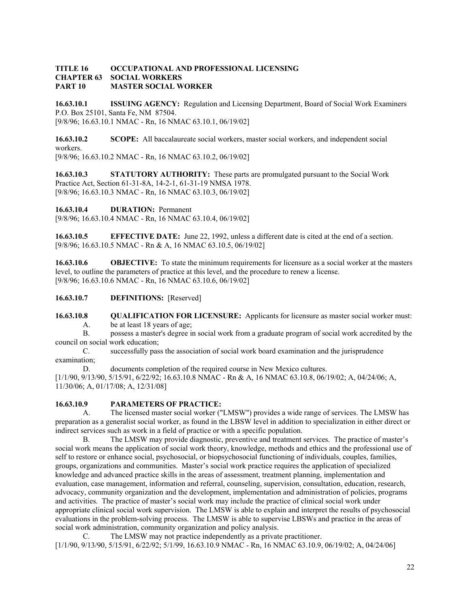# **TITLE 16 OCCUPATIONAL AND PROFESSIONAL LICENSING CHAPTER 63 SOCIAL WORKERS PART 10 MASTER SOCIAL WORKER**

**16.63.10.1 ISSUING AGENCY:** Regulation and Licensing Department, Board of Social Work Examiners P.O. Box 25101, Santa Fe, NM 87504. [9/8/96; 16.63.10.1 NMAC - Rn, 16 NMAC 63.10.1, 06/19/02]

**16.63.10.2 SCOPE:** All baccalaureate social workers, master social workers, and independent social workers.

[9/8/96; 16.63.10.2 NMAC - Rn, 16 NMAC 63.10.2, 06/19/02]

**16.63.10.3 STATUTORY AUTHORITY:** These parts are promulgated pursuant to the Social Work Practice Act, Section 61-31-8A, 14-2-1, 61-31-19 NMSA 1978. [9/8/96; 16.63.10.3 NMAC - Rn, 16 NMAC 63.10.3, 06/19/02]

**16.63.10.4 DURATION:** Permanent

[9/8/96; 16.63.10.4 NMAC - Rn, 16 NMAC 63.10.4, 06/19/02]

**16.63.10.5 EFFECTIVE DATE:** June 22, 1992, unless a different date is cited at the end of a section. [9/8/96; 16.63.10.5 NMAC - Rn & A, 16 NMAC 63.10.5, 06/19/02]

**16.63.10.6 OBJECTIVE:** To state the minimum requirements for licensure as a social worker at the masters level, to outline the parameters of practice at this level, and the procedure to renew a license. [9/8/96; 16.63.10.6 NMAC - Rn, 16 NMAC 63.10.6, 06/19/02]

**16.63.10.7 DEFINITIONS:** [Reserved]

**16.63.10.8 QUALIFICATION FOR LICENSURE:** Applicants for licensure as master social worker must: A. be at least 18 years of age;

 B. possess a master's degree in social work from a graduate program of social work accredited by the council on social work education;

 C. successfully pass the association of social work board examination and the jurisprudence examination;

 D. documents completion of the required course in New Mexico cultures. [1/1/90, 9/13/90, 5/15/91, 6/22/92; 16.63.10.8 NMAC - Rn & A, 16 NMAC 63.10.8, 06/19/02; A, 04/24/06; A, 11/30/06; A, 01/17/08; A, 12/31/08]

# **16.63.10.9 PARAMETERS OF PRACTICE:**

 A. The licensed master social worker ("LMSW") provides a wide range of services. The LMSW has preparation as a generalist social worker, as found in the LBSW level in addition to specialization in either direct or indirect services such as work in a field of practice or with a specific population.

 B. The LMSW may provide diagnostic, preventive and treatment services. The practice of master's social work means the application of social work theory, knowledge, methods and ethics and the professional use of self to restore or enhance social, psychosocial, or biopsychosocial functioning of individuals, couples, families, groups, organizations and communities. Master's social work practice requires the application of specialized knowledge and advanced practice skills in the areas of assessment, treatment planning, implementation and evaluation, case management, information and referral, counseling, supervision, consultation, education, research, advocacy, community organization and the development, implementation and administration of policies, programs and activities. The practice of master's social work may include the practice of clinical social work under appropriate clinical social work supervision. The LMSW is able to explain and interpret the results of psychosocial evaluations in the problem-solving process. The LMSW is able to supervise LBSWs and practice in the areas of social work administration, community organization and policy analysis.

 C. The LMSW may not practice independently as a private practitioner. [1/1/90, 9/13/90, 5/15/91, 6/22/92; 5/1/99, 16.63.10.9 NMAC - Rn, 16 NMAC 63.10.9, 06/19/02; A, 04/24/06]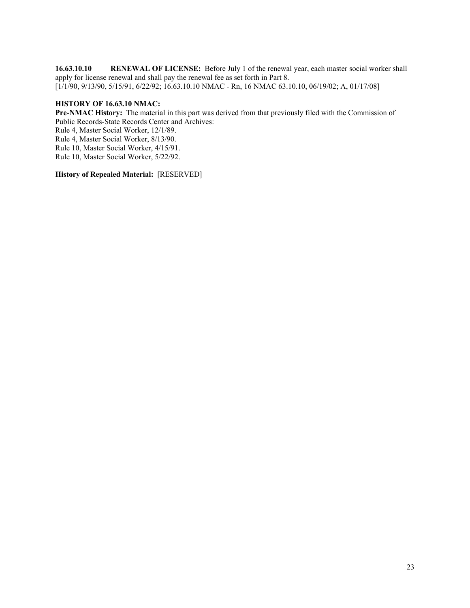**16.63.10.10 RENEWAL OF LICENSE:** Before July 1 of the renewal year, each master social worker shall apply for license renewal and shall pay the renewal fee as set forth in Part 8. [1/1/90, 9/13/90, 5/15/91, 6/22/92; 16.63.10.10 NMAC - Rn, 16 NMAC 63.10.10, 06/19/02; A, 01/17/08]

# **HISTORY OF 16.63.10 NMAC:**

**Pre-NMAC History:** The material in this part was derived from that previously filed with the Commission of Public Records-State Records Center and Archives:

Rule 4, Master Social Worker, 12/1/89.

Rule 4, Master Social Worker, 8/13/90.

Rule 10, Master Social Worker, 4/15/91.

Rule 10, Master Social Worker, 5/22/92.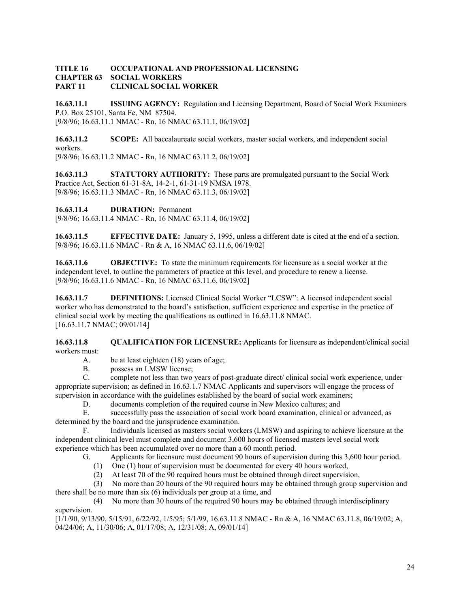# **TITLE 16 OCCUPATIONAL AND PROFESSIONAL LICENSING CHAPTER 63 SOCIAL WORKERS PART 11 CLINICAL SOCIAL WORKER**

**16.63.11.1 ISSUING AGENCY:** Regulation and Licensing Department, Board of Social Work Examiners P.O. Box 25101, Santa Fe, NM 87504. [9/8/96; 16.63.11.1 NMAC - Rn, 16 NMAC 63.11.1, 06/19/02]

**16.63.11.2 SCOPE:** All baccalaureate social workers, master social workers, and independent social workers.

[9/8/96; 16.63.11.2 NMAC - Rn, 16 NMAC 63.11.2, 06/19/02]

**16.63.11.3 STATUTORY AUTHORITY:** These parts are promulgated pursuant to the Social Work Practice Act, Section 61-31-8A, 14-2-1, 61-31-19 NMSA 1978. [9/8/96; 16.63.11.3 NMAC - Rn, 16 NMAC 63.11.3, 06/19/02]

**16.63.11.4 DURATION:** Permanent

[9/8/96; 16.63.11.4 NMAC - Rn, 16 NMAC 63.11.4, 06/19/02]

**16.63.11.5 EFFECTIVE DATE:** January 5, 1995, unless a different date is cited at the end of a section. [9/8/96; 16.63.11.6 NMAC - Rn & A, 16 NMAC 63.11.6, 06/19/02]

**16.63.11.6 OBJECTIVE:** To state the minimum requirements for licensure as a social worker at the independent level, to outline the parameters of practice at this level, and procedure to renew a license. [9/8/96; 16.63.11.6 NMAC - Rn, 16 NMAC 63.11.6, 06/19/02]

**16.63.11.7 DEFINITIONS:** Licensed Clinical Social Worker "LCSW": A licensed independent social worker who has demonstrated to the board's satisfaction, sufficient experience and expertise in the practice of clinical social work by meeting the qualifications as outlined in 16.63.11.8 NMAC. [16.63.11.7 NMAC; 09/01/14]

**16.63.11.8 QUALIFICATION FOR LICENSURE:** Applicants for licensure as independent/clinical social workers must:

- A. be at least eighteen (18) years of age;
- B. possess an LMSW license;

 C. complete not less than two years of post-graduate direct/ clinical social work experience, under appropriate supervision; as defined in 16.63.1.7 NMAC Applicants and supervisors will engage the process of supervision in accordance with the guidelines established by the board of social work examiners;

D. documents completion of the required course in New Mexico cultures; and

 E. successfully pass the association of social work board examination, clinical or advanced, as determined by the board and the jurisprudence examination.

 F. Individuals licensed as masters social workers (LMSW) and aspiring to achieve licensure at the independent clinical level must complete and document 3,600 hours of licensed masters level social work experience which has been accumulated over no more than a 60 month period.

G. Applicants for licensure must document 90 hours of supervision during this 3,600 hour period.

- (1) One (1) hour of supervision must be documented for every 40 hours worked,
- (2) At least 70 of the 90 required hours must be obtained through direct supervision,

 (3) No more than 20 hours of the 90 required hours may be obtained through group supervision and there shall be no more than six (6) individuals per group at a time, and

 (4) No more than 30 hours of the required 90 hours may be obtained through interdisciplinary supervision.

[1/1/90, 9/13/90, 5/15/91, 6/22/92, 1/5/95; 5/1/99, 16.63.11.8 NMAC - Rn & A, 16 NMAC 63.11.8, 06/19/02; A, 04/24/06; A, 11/30/06; A, 01/17/08; A, 12/31/08; A, 09/01/14]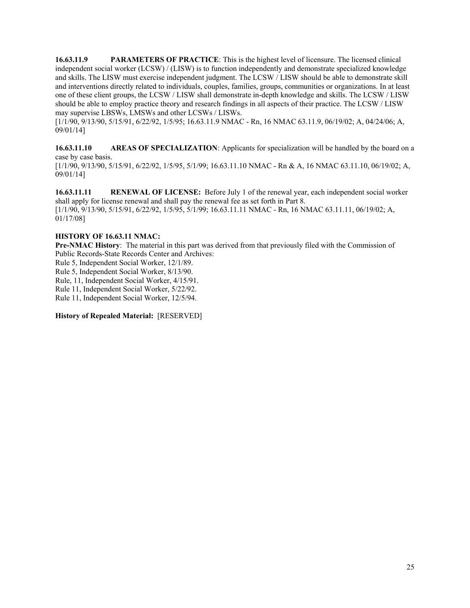**16.63.11.9 PARAMETERS OF PRACTICE**: This is the highest level of licensure. The licensed clinical independent social worker (LCSW) / (LISW) is to function independently and demonstrate specialized knowledge and skills. The LISW must exercise independent judgment. The LCSW / LISW should be able to demonstrate skill and interventions directly related to individuals, couples, families, groups, communities or organizations. In at least one of these client groups, the LCSW / LISW shall demonstrate in-depth knowledge and skills. The LCSW / LISW should be able to employ practice theory and research findings in all aspects of their practice. The LCSW / LISW may supervise LBSWs, LMSWs and other LCSWs / LISWs.

[1/1/90, 9/13/90, 5/15/91, 6/22/92, 1/5/95; 16.63.11.9 NMAC - Rn, 16 NMAC 63.11.9, 06/19/02; A, 04/24/06; A, 09/01/14]

**16.63.11.10 AREAS OF SPECIALIZATION**: Applicants for specialization will be handled by the board on a case by case basis.

[1/1/90, 9/13/90, 5/15/91, 6/22/92, 1/5/95, 5/1/99; 16.63.11.10 NMAC - Rn & A, 16 NMAC 63.11.10, 06/19/02; A, 09/01/14]

**16.63.11.11 RENEWAL OF LICENSE:** Before July 1 of the renewal year, each independent social worker shall apply for license renewal and shall pay the renewal fee as set forth in Part 8. [1/1/90, 9/13/90, 5/15/91, 6/22/92, 1/5/95, 5/1/99; 16.63.11.11 NMAC - Rn, 16 NMAC 63.11.11, 06/19/02; A, 01/17/08]

# **HISTORY OF 16.63.11 NMAC:**

**Pre-NMAC History**: The material in this part was derived from that previously filed with the Commission of Public Records-State Records Center and Archives:

Rule 5, Independent Social Worker, 12/1/89.

Rule 5, Independent Social Worker, 8/13/90.

Rule, 11, Independent Social Worker, 4/15/91.

Rule 11, Independent Social Worker, 5/22/92.

Rule 11, Independent Social Worker, 12/5/94.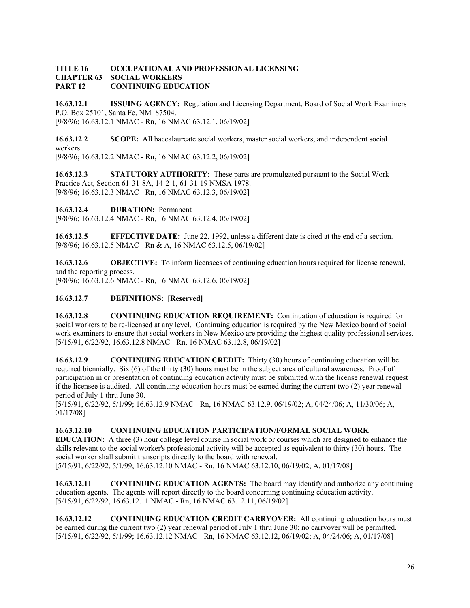# **TITLE 16 OCCUPATIONAL AND PROFESSIONAL LICENSING CHAPTER 63 SOCIAL WORKERS PART 12 CONTINUING EDUCATION**

**16.63.12.1 ISSUING AGENCY:** Regulation and Licensing Department, Board of Social Work Examiners P.O. Box 25101, Santa Fe, NM 87504. [9/8/96; 16.63.12.1 NMAC - Rn, 16 NMAC 63.12.1, 06/19/02]

**16.63.12**.**2 SCOPE:** All baccalaureate social workers, master social workers, and independent social workers.

[9/8/96; 16.63.12.2 NMAC - Rn, 16 NMAC 63.12.2, 06/19/02]

**16.63.12.3 STATUTORY AUTHORITY:** These parts are promulgated pursuant to the Social Work Practice Act, Section 61-31-8A, 14-2-1, 61-31-19 NMSA 1978. [9/8/96; 16.63.12.3 NMAC - Rn, 16 NMAC 63.12.3, 06/19/02]

**16.63.12.4 DURATION:** Permanent

[9/8/96; 16.63.12.4 NMAC - Rn, 16 NMAC 63.12.4, 06/19/02]

**16.63.12.5 EFFECTIVE DATE:** June 22, 1992, unless a different date is cited at the end of a section. [9/8/96; 16.63.12.5 NMAC - Rn & A, 16 NMAC 63.12.5, 06/19/02]

**16.63.12.6 OBJECTIVE:** To inform licensees of continuing education hours required for license renewal, and the reporting process.

[9/8/96; 16.63.12.6 NMAC - Rn, 16 NMAC 63.12.6, 06/19/02]

# **16.63.12.7 DEFINITIONS: [Reserved]**

**16.63.12.8 CONTINUING EDUCATION REQUIREMENT:** Continuation of education is required for social workers to be re-licensed at any level. Continuing education is required by the New Mexico board of social work examiners to ensure that social workers in New Mexico are providing the highest quality professional services. [5/15/91, 6/22/92, 16.63.12.8 NMAC - Rn, 16 NMAC 63.12.8, 06/19/02]

**16.63.12.9 CONTINUING EDUCATION CREDIT:** Thirty (30) hours of continuing education will be required biennially. Six (6) of the thirty (30) hours must be in the subject area of cultural awareness. Proof of participation in or presentation of continuing education activity must be submitted with the license renewal request if the licensee is audited. All continuing education hours must be earned during the current two (2) year renewal period of July 1 thru June 30.

[5/15/91, 6/22/92, 5/1/99; 16.63.12.9 NMAC - Rn, 16 NMAC 63.12.9, 06/19/02; A, 04/24/06; A, 11/30/06; A, 01/17/08]

# **16.63.12.10 CONTINUING EDUCATION PARTICIPATION/FORMAL SOCIAL WORK**

**EDUCATION:** A three (3) hour college level course in social work or courses which are designed to enhance the skills relevant to the social worker's professional activity will be accepted as equivalent to thirty (30) hours. The social worker shall submit transcripts directly to the board with renewal. [5/15/91, 6/22/92, 5/1/99; 16.63.12.10 NMAC - Rn, 16 NMAC 63.12.10, 06/19/02; A, 01/17/08]

**16.63.12.11 CONTINUING EDUCATION AGENTS:** The board may identify and authorize any continuing education agents. The agents will report directly to the board concerning continuing education activity. [5/15/91, 6/22/92, 16.63.12.11 NMAC - Rn, 16 NMAC 63.12.11, 06/19/02]

**16.63.12.12 CONTINUING EDUCATION CREDIT CARRYOVER:** All continuing education hours must be earned during the current two (2) year renewal period of July 1 thru June 30; no carryover will be permitted. [5/15/91, 6/22/92, 5/1/99; 16.63.12.12 NMAC - Rn, 16 NMAC 63.12.12, 06/19/02; A, 04/24/06; A, 01/17/08]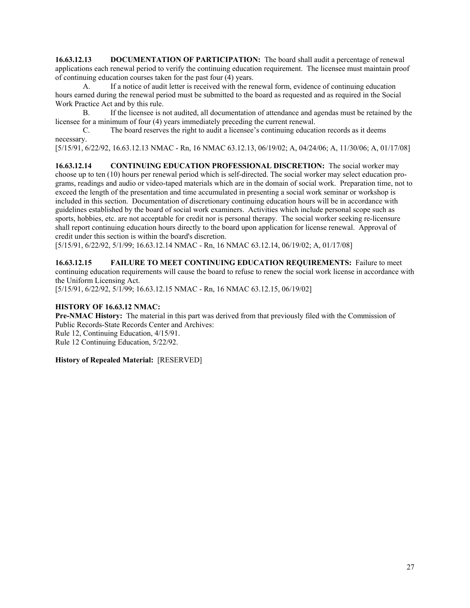**16.63.12.13** DOCUMENTATION OF PARTICIPATION: The board shall audit a percentage of renewal applications each renewal period to verify the continuing education requirement. The licensee must maintain proof of continuing education courses taken for the past four (4) years.

 A. If a notice of audit letter is received with the renewal form, evidence of continuing education hours earned during the renewal period must be submitted to the board as requested and as required in the Social Work Practice Act and by this rule.

 B. If the licensee is not audited, all documentation of attendance and agendas must be retained by the licensee for a minimum of four (4) years immediately preceding the current renewal.

 C. The board reserves the right to audit a licensee's continuing education records as it deems necessary.

[5/15/91, 6/22/92, 16.63.12.13 NMAC - Rn, 16 NMAC 63.12.13, 06/19/02; A, 04/24/06; A, 11/30/06; A, 01/17/08]

**16.63.12.14 CONTINUING EDUCATION PROFESSIONAL DISCRETION:** The social worker may choose up to ten (10) hours per renewal period which is self-directed. The social worker may select education programs, readings and audio or video-taped materials which are in the domain of social work. Preparation time, not to exceed the length of the presentation and time accumulated in presenting a social work seminar or workshop is included in this section. Documentation of discretionary continuing education hours will be in accordance with guidelines established by the board of social work examiners. Activities which include personal scope such as sports, hobbies, etc. are not acceptable for credit nor is personal therapy. The social worker seeking re-licensure shall report continuing education hours directly to the board upon application for license renewal. Approval of credit under this section is within the board's discretion.

[5/15/91, 6/22/92, 5/1/99; 16.63.12.14 NMAC - Rn, 16 NMAC 63.12.14, 06/19/02; A, 01/17/08]

**16.63.12.15 FAILURE TO MEET CONTINUING EDUCATION REQUIREMENTS:** Failure to meet continuing education requirements will cause the board to refuse to renew the social work license in accordance with the Uniform Licensing Act.

[5/15/91, 6/22/92, 5/1/99; 16.63.12.15 NMAC - Rn, 16 NMAC 63.12.15, 06/19/02]

### **HISTORY OF 16.63.12 NMAC:**

**Pre-NMAC History:** The material in this part was derived from that previously filed with the Commission of Public Records-State Records Center and Archives:

Rule 12, Continuing Education, 4/15/91. Rule 12 Continuing Education, 5/22/92.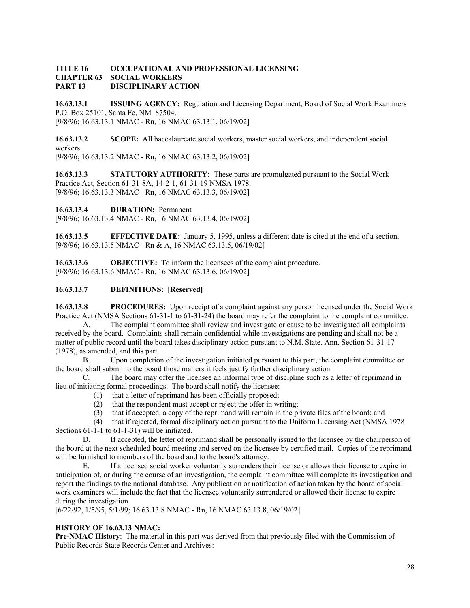# **TITLE 16 OCCUPATIONAL AND PROFESSIONAL LICENSING CHAPTER 63 SOCIAL WORKERS PART 13 DISCIPLINARY ACTION**

**16.63.13.1 ISSUING AGENCY:** Regulation and Licensing Department, Board of Social Work Examiners P.O. Box 25101, Santa Fe, NM 87504. [9/8/96; 16.63.13.1 NMAC - Rn, 16 NMAC 63.13.1, 06/19/02]

**16.63.13.2 SCOPE:** All baccalaureate social workers, master social workers, and independent social workers.

[9/8/96; 16.63.13.2 NMAC - Rn, 16 NMAC 63.13.2, 06/19/02]

**16.63.13.3 STATUTORY AUTHORITY:** These parts are promulgated pursuant to the Social Work Practice Act, Section 61-31-8A, 14-2-1, 61-31-19 NMSA 1978. [9/8/96; 16.63.13.3 NMAC - Rn, 16 NMAC 63.13.3, 06/19/02]

**16.63.13.4 DURATION:** Permanent

[9/8/96; 16.63.13.4 NMAC - Rn, 16 NMAC 63.13.4, 06/19/02]

**16.63.13.5 EFFECTIVE DATE:** January 5, 1995, unless a different date is cited at the end of a section. [9/8/96; 16.63.13.5 NMAC - Rn & A, 16 NMAC 63.13.5, 06/19/02]

**16.63.13.6 OBJECTIVE:** To inform the licensees of the complaint procedure. [9/8/96; 16.63.13.6 NMAC - Rn, 16 NMAC 63.13.6, 06/19/02]

# **16.63.13.7 DEFINITIONS: [Reserved]**

**16.63.13.8 PROCEDURES:** Upon receipt of a complaint against any person licensed under the Social Work Practice Act (NMSA Sections 61-31-1 to 61-31-24) the board may refer the complaint to the complaint committee.

 A. The complaint committee shall review and investigate or cause to be investigated all complaints received by the board. Complaints shall remain confidential while investigations are pending and shall not be a matter of public record until the board takes disciplinary action pursuant to N.M. State. Ann. Section 61-31-17 (1978), as amended, and this part.

 B. Upon completion of the investigation initiated pursuant to this part, the complaint committee or the board shall submit to the board those matters it feels justify further disciplinary action.

 C. The board may offer the licensee an informal type of discipline such as a letter of reprimand in lieu of initiating formal proceedings. The board shall notify the licensee:

- (1) that a letter of reprimand has been officially proposed;
- (2) that the respondent must accept or reject the offer in writing;
- (3) that if accepted, a copy of the reprimand will remain in the private files of the board; and

 (4) that if rejected, formal disciplinary action pursuant to the Uniform Licensing Act (NMSA 1978 Sections 61-1-1 to 61-1-31) will be initiated.

 D. If accepted, the letter of reprimand shall be personally issued to the licensee by the chairperson of the board at the next scheduled board meeting and served on the licensee by certified mail. Copies of the reprimand will be furnished to members of the board and to the board's attorney.

 E. If a licensed social worker voluntarily surrenders their license or allows their license to expire in anticipation of, or during the course of an investigation, the complaint committee will complete its investigation and report the findings to the national database. Any publication or notification of action taken by the board of social work examiners will include the fact that the licensee voluntarily surrendered or allowed their license to expire during the investigation.

[6/22/92, 1/5/95, 5/1/99; 16.63.13.8 NMAC - Rn, 16 NMAC 63.13.8, 06/19/02]

# **HISTORY OF 16.63.13 NMAC:**

**Pre-NMAC History**: The material in this part was derived from that previously filed with the Commission of Public Records-State Records Center and Archives: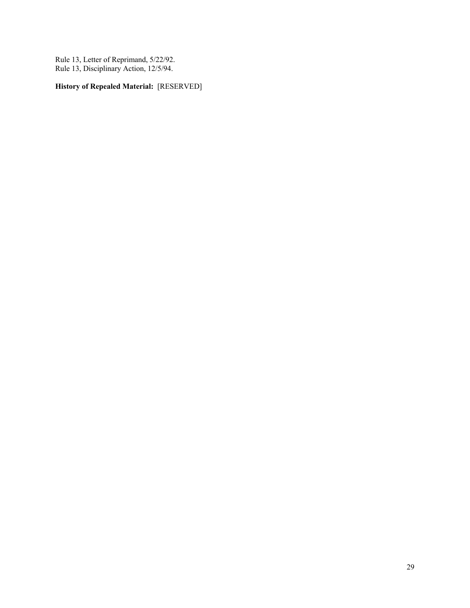Rule 13, Letter of Reprimand, 5/22/92. Rule 13, Disciplinary Action, 12/5/94.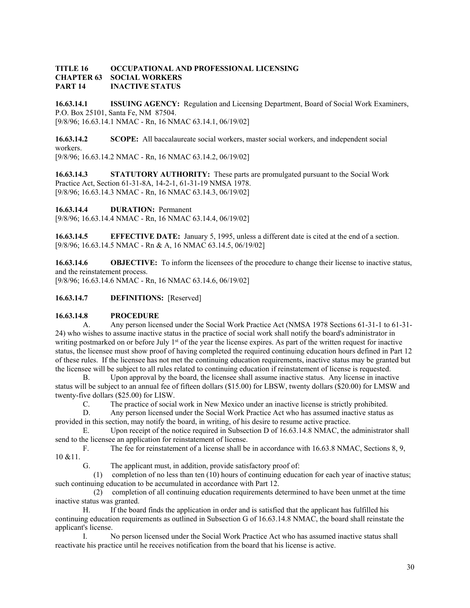# **TITLE 16 OCCUPATIONAL AND PROFESSIONAL LICENSING CHAPTER 63 SOCIAL WORKERS PART 14 INACTIVE STATUS**

**16.63.14.1 ISSUING AGENCY:** Regulation and Licensing Department, Board of Social Work Examiners, P.O. Box 25101, Santa Fe, NM 87504. [9/8/96; 16.63.14.1 NMAC - Rn, 16 NMAC 63.14.1, 06/19/02]

**16.63.14.2 SCOPE:** All baccalaureate social workers, master social workers, and independent social workers.

[9/8/96; 16.63.14.2 NMAC - Rn, 16 NMAC 63.14.2, 06/19/02]

**16.63.14.3 STATUTORY AUTHORITY:** These parts are promulgated pursuant to the Social Work Practice Act, Section 61-31-8A, 14-2-1, 61-31-19 NMSA 1978. [9/8/96; 16.63.14.3 NMAC - Rn, 16 NMAC 63.14.3, 06/19/02]

**16.63.14.4 DURATION:** Permanent

[9/8/96; 16.63.14.4 NMAC - Rn, 16 NMAC 63.14.4, 06/19/02]

**16.63.14.5 EFFECTIVE DATE:** January 5, 1995, unless a different date is cited at the end of a section. [9/8/96; 16.63.14.5 NMAC - Rn & A, 16 NMAC 63.14.5, 06/19/02]

**16.63.14.6 OBJECTIVE:** To inform the licensees of the procedure to change their license to inactive status, and the reinstatement process.

[9/8/96; 16.63.14.6 NMAC - Rn, 16 NMAC 63.14.6, 06/19/02]

**16.63.14.7 DEFINITIONS:** [Reserved]

# **16.63.14.8 PROCEDURE**

 A. Any person licensed under the Social Work Practice Act (NMSA 1978 Sections 61-31-1 to 61-31- 24) who wishes to assume inactive status in the practice of social work shall notify the board's administrator in writing postmarked on or before July 1<sup>st</sup> of the year the license expires. As part of the written request for inactive status, the licensee must show proof of having completed the required continuing education hours defined in Part 12 of these rules. If the licensee has not met the continuing education requirements, inactive status may be granted but the licensee will be subject to all rules related to continuing education if reinstatement of license is requested.

 B. Upon approval by the board, the licensee shall assume inactive status. Any license in inactive status will be subject to an annual fee of fifteen dollars (\$15.00) for LBSW, twenty dollars (\$20.00) for LMSW and twenty-five dollars (\$25.00) for LISW.

C. The practice of social work in New Mexico under an inactive license is strictly prohibited.

 D. Any person licensed under the Social Work Practice Act who has assumed inactive status as provided in this section, may notify the board, in writing, of his desire to resume active practice.

 E. Upon receipt of the notice required in Subsection D of 16.63.14.8 NMAC, the administrator shall send to the licensee an application for reinstatement of license.

F. The fee for reinstatement of a license shall be in accordance with 16.63.8 NMAC, Sections 8, 9, 10 &11.

G. The applicant must, in addition, provide satisfactory proof of:

 (1) completion of no less than ten (10) hours of continuing education for each year of inactive status; such continuing education to be accumulated in accordance with Part 12.

 (2) completion of all continuing education requirements determined to have been unmet at the time inactive status was granted.

 H. If the board finds the application in order and is satisfied that the applicant has fulfilled his continuing education requirements as outlined in Subsection G of 16.63.14.8 NMAC, the board shall reinstate the applicant's license.

 I. No person licensed under the Social Work Practice Act who has assumed inactive status shall reactivate his practice until he receives notification from the board that his license is active.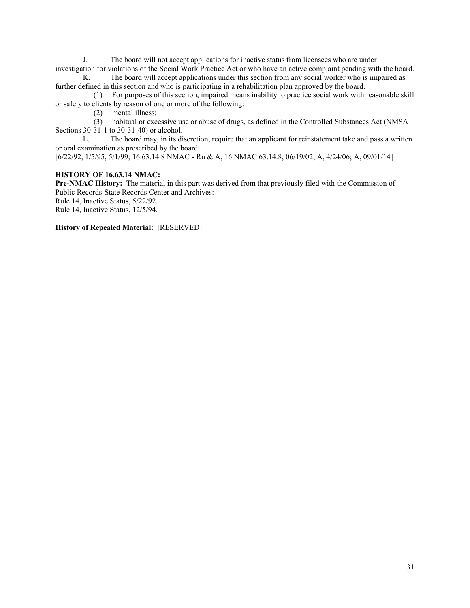J. The board will not accept applications for inactive status from licensees who are under investigation for violations of the Social Work Practice Act or who have an active complaint pending with the board.

 K. The board will accept applications under this section from any social worker who is impaired as further defined in this section and who is participating in a rehabilitation plan approved by the board.

 (1) For purposes of this section, impaired means inability to practice social work with reasonable skill or safety to clients by reason of one or more of the following:

(2) mental illness;

 (3) habitual or excessive use or abuse of drugs, as defined in the Controlled Substances Act (NMSA Sections 30-31-1 to 30-31-40) or alcohol.

 L. The board may, in its discretion, require that an applicant for reinstatement take and pass a written or oral examination as prescribed by the board.

[6/22/92, 1/5/95, 5/1/99; 16.63.14.8 NMAC - Rn & A, 16 NMAC 63.14.8, 06/19/02; A, 4/24/06; A, 09/01/14]

# **HISTORY OF 16.63.14 NMAC:**

**Pre-NMAC History:** The material in this part was derived from that previously filed with the Commission of Public Records-State Records Center and Archives:

Rule 14, Inactive Status, 5/22/92.

Rule 14, Inactive Status, 12/5/94.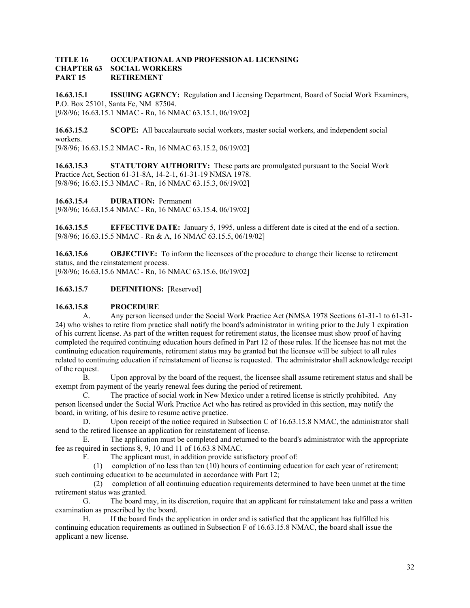# **TITLE 16 OCCUPATIONAL AND PROFESSIONAL LICENSING CHAPTER 63 SOCIAL WORKERS PART 15 RETIREMENT**

**16.63.15.1 ISSUING AGENCY:** Regulation and Licensing Department, Board of Social Work Examiners, P.O. Box 25101, Santa Fe, NM 87504. [9/8/96; 16.63.15.1 NMAC - Rn, 16 NMAC 63.15.1, 06/19/02]

**16.63.15.2 SCOPE:** All baccalaureate social workers, master social workers, and independent social workers.

[9/8/96; 16.63.15.2 NMAC - Rn, 16 NMAC 63.15.2, 06/19/02]

**16.63.15.3 STATUTORY AUTHORITY:** These parts are promulgated pursuant to the Social Work Practice Act, Section 61-31-8A, 14-2-1, 61-31-19 NMSA 1978. [9/8/96; 16.63.15.3 NMAC - Rn, 16 NMAC 63.15.3, 06/19/02]

**16.63.15.4 DURATION:** Permanent [9/8/96; 16.63.15.4 NMAC - Rn, 16 NMAC 63.15.4, 06/19/02]

**16.63.15.5 EFFECTIVE DATE:** January 5, 1995, unless a different date is cited at the end of a section. [9/8/96; 16.63.15.5 NMAC - Rn & A, 16 NMAC 63.15.5, 06/19/02]

**16.63.15.6 OBJECTIVE:** To inform the licensees of the procedure to change their license to retirement status, and the reinstatement process.

[9/8/96; 16.63.15.6 NMAC - Rn, 16 NMAC 63.15.6, 06/19/02]

# **16.63.15.7 DEFINITIONS:** [Reserved]

# **16.63.15.8 PROCEDURE**

 A. Any person licensed under the Social Work Practice Act (NMSA 1978 Sections 61-31-1 to 61-31- 24) who wishes to retire from practice shall notify the board's administrator in writing prior to the July 1 expiration of his current license. As part of the written request for retirement status, the licensee must show proof of having completed the required continuing education hours defined in Part 12 of these rules. If the licensee has not met the continuing education requirements, retirement status may be granted but the licensee will be subject to all rules related to continuing education if reinstatement of license is requested. The administrator shall acknowledge receipt of the request.

 B. Upon approval by the board of the request, the licensee shall assume retirement status and shall be exempt from payment of the yearly renewal fees during the period of retirement.

 C. The practice of social work in New Mexico under a retired license is strictly prohibited. Any person licensed under the Social Work Practice Act who has retired as provided in this section, may notify the board, in writing, of his desire to resume active practice.

D. Upon receipt of the notice required in Subsection C of 16.63.15.8 NMAC, the administrator shall send to the retired licensee an application for reinstatement of license.

 E. The application must be completed and returned to the board's administrator with the appropriate fee as required in sections 8, 9, 10 and 11 of 16.63.8 NMAC.

F. The applicant must, in addition provide satisfactory proof of:

 (1) completion of no less than ten (10) hours of continuing education for each year of retirement; such continuing education to be accumulated in accordance with Part 12;

 (2) completion of all continuing education requirements determined to have been unmet at the time retirement status was granted.

 G. The board may, in its discretion, require that an applicant for reinstatement take and pass a written examination as prescribed by the board.

 H. If the board finds the application in order and is satisfied that the applicant has fulfilled his continuing education requirements as outlined in Subsection F of 16.63.15.8 NMAC, the board shall issue the applicant a new license.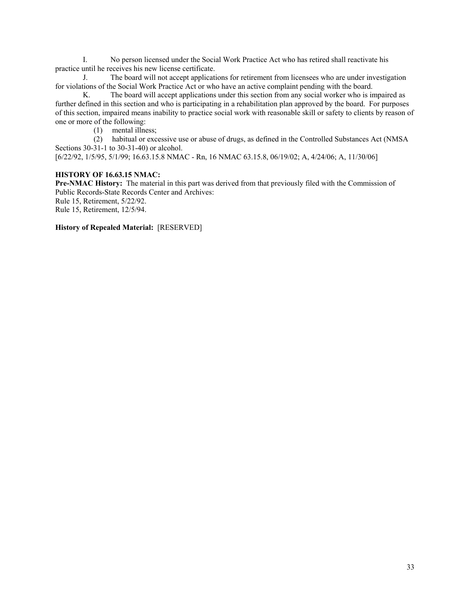I. No person licensed under the Social Work Practice Act who has retired shall reactivate his practice until he receives his new license certificate.

 J. The board will not accept applications for retirement from licensees who are under investigation for violations of the Social Work Practice Act or who have an active complaint pending with the board.

 K. The board will accept applications under this section from any social worker who is impaired as further defined in this section and who is participating in a rehabilitation plan approved by the board. For purposes of this section, impaired means inability to practice social work with reasonable skill or safety to clients by reason of one or more of the following:

(1) mental illness;

 (2) habitual or excessive use or abuse of drugs, as defined in the Controlled Substances Act (NMSA Sections 30-31-1 to 30-31-40) or alcohol.

[6/22/92, 1/5/95, 5/1/99; 16.63.15.8 NMAC - Rn, 16 NMAC 63.15.8, 06/19/02; A, 4/24/06; A, 11/30/06]

# **HISTORY OF 16.63.15 NMAC:**

**Pre-NMAC History:** The material in this part was derived from that previously filed with the Commission of Public Records-State Records Center and Archives:

Rule 15, Retirement, 5/22/92.

Rule 15, Retirement, 12/5/94.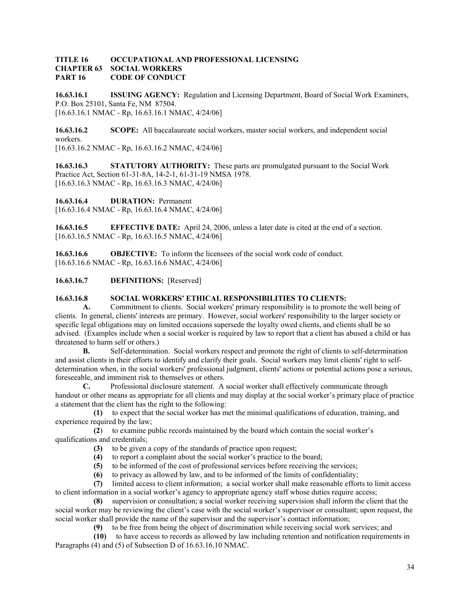### **TITLE 16 OCCUPATIONAL AND PROFESSIONAL LICENSING SOCIAL WORKERS PART 16 CODE OF CONDUCT**

**16.63.16.1 ISSUING AGENCY:** Regulation and Licensing Department, Board of Social Work Examiners, P.O. Box 25101, Santa Fe, NM 87504. [16.63.16.1 NMAC - Rp, 16.63.16.1 NMAC, 4/24/06]

**16.63.16.2 SCOPE:** All baccalaureate social workers, master social workers, and independent social workers.

[16.63.16.2 NMAC - Rp, 16.63.16.2 NMAC, 4/24/06]

**16.63.16.3 STATUTORY AUTHORITY:** These parts are promulgated pursuant to the Social Work Practice Act, Section 61-31-8A, 14-2-1, 61-31-19 NMSA 1978. [16.63.16.3 NMAC - Rp, 16.63.16.3 NMAC, 4/24/06]

**16.63.16.4 DURATION:** Permanent [16.63.16.4 NMAC - Rp, 16.63.16.4 NMAC, 4/24/06]

**16.63.16.5 EFFECTIVE DATE:** April 24, 2006, unless a later date is cited at the end of a section. [16.63.16.5 NMAC - Rp, 16.63.16.5 NMAC, 4/24/06]

**16.63.16.6 OBJECTIVE:** To inform the licensees of the social work code of conduct. [16.63.16.6 NMAC - Rp, 16.63.16.6 NMAC, 4/24/06]

**16.63.16.7 DEFINITIONS:** [Reserved]

### **16.63.16.8 SOCIAL WORKERS' ETHICAL RESPONSIBILITIES TO CLIENTS:**

 **A.** Commitment to clients. Social workers' primary responsibility is to promote the well being of clients. In general, clients' interests are primary. However, social workers' responsibility to the larger society or specific legal obligations may on limited occasions supersede the loyalty owed clients, and clients shall be so advised. (Examples include when a social worker is required by law to report that a client has abused a child or has threatened to harm self or others.)

**B.** Self-determination. Social workers respect and promote the right of clients to self-determination and assist clients in their efforts to identify and clarify their goals. Social workers may limit clients' right to selfdetermination when, in the social workers' professional judgment, clients' actions or potential actions pose a serious, foreseeable, and imminent risk to themselves or others.

**C.** Professional disclosure statement. A social worker shall effectively communicate through handout or other means as appropriate for all clients and may display at the social worker's primary place of practice a statement that the client has the right to the following:

 **(1)** to expect that the social worker has met the minimal qualifications of education, training, and experience required by the law;

 **(2**) to examine public records maintained by the board which contain the social worker's qualifications and credentials;

- **(3)** to be given a copy of the standards of practice upon request;
- **(4)** to report a complaint about the social worker's practice to the board;
- **(5)** to be informed of the cost of professional services before receiving the services;
- **(6)** to privacy as allowed by law, and to be informed of the limits of confidentiality;

 **(7)** limited access to client information; a social worker shall make reasonable efforts to limit access to client information in a social worker's agency to appropriate agency staff whose duties require access;

 **(8)** supervision or consultation; a social worker receiving supervision shall inform the client that the social worker may be reviewing the client's case with the social worker's supervisor or consultant; upon request, the social worker shall provide the name of the supervisor and the supervisor's contact information;

**(9)** to be free from being the object of discrimination while receiving social work services; and

 **(10)** to have access to records as allowed by law including retention and notification requirements in Paragraphs (4) and (5) of Subsection D of 16.63.16.10 NMAC.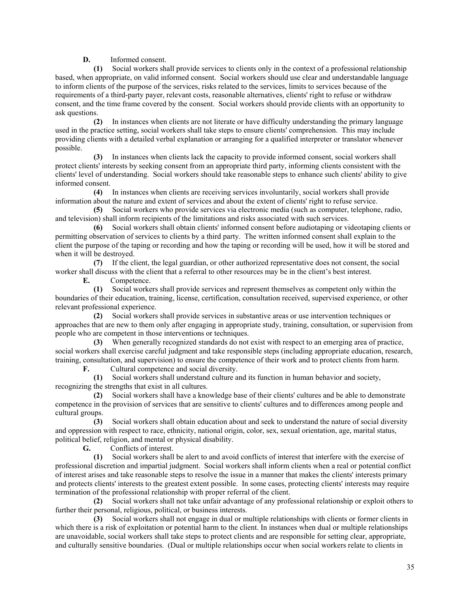**D.** Informed consent.

 **(1)** Social workers shall provide services to clients only in the context of a professional relationship based, when appropriate, on valid informed consent. Social workers should use clear and understandable language to inform clients of the purpose of the services, risks related to the services, limits to services because of the requirements of a third-party payer, relevant costs, reasonable alternatives, clients' right to refuse or withdraw consent, and the time frame covered by the consent. Social workers should provide clients with an opportunity to ask questions.

 **(2)** In instances when clients are not literate or have difficulty understanding the primary language used in the practice setting, social workers shall take steps to ensure clients' comprehension. This may include providing clients with a detailed verbal explanation or arranging for a qualified interpreter or translator whenever possible.

 **(3)** In instances when clients lack the capacity to provide informed consent, social workers shall protect clients' interests by seeking consent from an appropriate third party, informing clients consistent with the clients' level of understanding. Social workers should take reasonable steps to enhance such clients' ability to give informed consent.

 **(4)** In instances when clients are receiving services involuntarily, social workers shall provide information about the nature and extent of services and about the extent of clients' right to refuse service.

 **(5)** Social workers who provide services via electronic media (such as computer, telephone, radio, and television) shall inform recipients of the limitations and risks associated with such services.

 **(6)** Social workers shall obtain clients' informed consent before audiotaping or videotaping clients or permitting observation of services to clients by a third party. The written informed consent shall explain to the client the purpose of the taping or recording and how the taping or recording will be used, how it will be stored and when it will be destroyed.

 **(7)** If the client, the legal guardian, or other authorized representative does not consent, the social worker shall discuss with the client that a referral to other resources may be in the client's best interest.

 **E.** Competence.

 **(1)** Social workers shall provide services and represent themselves as competent only within the boundaries of their education, training, license, certification, consultation received, supervised experience, or other relevant professional experience.

 **(2)** Social workers shall provide services in substantive areas or use intervention techniques or approaches that are new to them only after engaging in appropriate study, training, consultation, or supervision from people who are competent in those interventions or techniques.

 **(3)** When generally recognized standards do not exist with respect to an emerging area of practice, social workers shall exercise careful judgment and take responsible steps (including appropriate education, research, training, consultation, and supervision) to ensure the competence of their work and to protect clients from harm.

**F.** Cultural competence and social diversity.

 **(1)** Social workers shall understand culture and its function in human behavior and society, recognizing the strengths that exist in all cultures.

 **(2)** Social workers shall have a knowledge base of their clients' cultures and be able to demonstrate competence in the provision of services that are sensitive to clients' cultures and to differences among people and cultural groups.

 **(3)** Social workers shall obtain education about and seek to understand the nature of social diversity and oppression with respect to race, ethnicity, national origin, color, sex, sexual orientation, age, marital status, political belief, religion, and mental or physical disability.

 **G.** Conflicts of interest.

 **(1)** Social workers shall be alert to and avoid conflicts of interest that interfere with the exercise of professional discretion and impartial judgment. Social workers shall inform clients when a real or potential conflict of interest arises and take reasonable steps to resolve the issue in a manner that makes the clients' interests primary and protects clients' interests to the greatest extent possible. In some cases, protecting clients' interests may require termination of the professional relationship with proper referral of the client.

 **(2)** Social workers shall not take unfair advantage of any professional relationship or exploit others to further their personal, religious, political, or business interests.

 **(3)** Social workers shall not engage in dual or multiple relationships with clients or former clients in which there is a risk of exploitation or potential harm to the client. In instances when dual or multiple relationships are unavoidable, social workers shall take steps to protect clients and are responsible for setting clear, appropriate, and culturally sensitive boundaries. (Dual or multiple relationships occur when social workers relate to clients in

35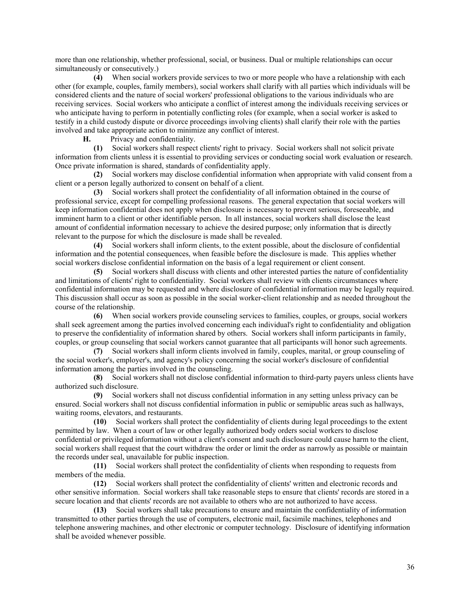more than one relationship, whether professional, social, or business. Dual or multiple relationships can occur simultaneously or consecutively.)

 **(4)** When social workers provide services to two or more people who have a relationship with each other (for example, couples, family members), social workers shall clarify with all parties which individuals will be considered clients and the nature of social workers' professional obligations to the various individuals who are receiving services. Social workers who anticipate a conflict of interest among the individuals receiving services or who anticipate having to perform in potentially conflicting roles (for example, when a social worker is asked to testify in a child custody dispute or divorce proceedings involving clients) shall clarify their role with the parties involved and take appropriate action to minimize any conflict of interest.

 **H.** Privacy and confidentiality.

 **(1)** Social workers shall respect clients' right to privacy. Social workers shall not solicit private information from clients unless it is essential to providing services or conducting social work evaluation or research. Once private information is shared, standards of confidentiality apply.

 **(2)** Social workers may disclose confidential information when appropriate with valid consent from a client or a person legally authorized to consent on behalf of a client.

 **(3)** Social workers shall protect the confidentiality of all information obtained in the course of professional service, except for compelling professional reasons. The general expectation that social workers will keep information confidential does not apply when disclosure is necessary to prevent serious, foreseeable, and imminent harm to a client or other identifiable person. In all instances, social workers shall disclose the least amount of confidential information necessary to achieve the desired purpose; only information that is directly relevant to the purpose for which the disclosure is made shall be revealed.

 **(4)** Social workers shall inform clients, to the extent possible, about the disclosure of confidential information and the potential consequences, when feasible before the disclosure is made. This applies whether social workers disclose confidential information on the basis of a legal requirement or client consent.

 **(5)** Social workers shall discuss with clients and other interested parties the nature of confidentiality and limitations of clients' right to confidentiality. Social workers shall review with clients circumstances where confidential information may be requested and where disclosure of confidential information may be legally required. This discussion shall occur as soon as possible in the social worker-client relationship and as needed throughout the course of the relationship.

 **(6)** When social workers provide counseling services to families, couples, or groups, social workers shall seek agreement among the parties involved concerning each individual's right to confidentiality and obligation to preserve the confidentiality of information shared by others. Social workers shall inform participants in family, couples, or group counseling that social workers cannot guarantee that all participants will honor such agreements.

 **(7)** Social workers shall inform clients involved in family, couples, marital, or group counseling of the social worker's, employer's, and agency's policy concerning the social worker's disclosure of confidential information among the parties involved in the counseling.

 **(8)** Social workers shall not disclose confidential information to third-party payers unless clients have authorized such disclosure.

 **(9)** Social workers shall not discuss confidential information in any setting unless privacy can be ensured. Social workers shall not discuss confidential information in public or semipublic areas such as hallways, waiting rooms, elevators, and restaurants.

 **(10)** Social workers shall protect the confidentiality of clients during legal proceedings to the extent permitted by law. When a court of law or other legally authorized body orders social workers to disclose confidential or privileged information without a client's consent and such disclosure could cause harm to the client, social workers shall request that the court withdraw the order or limit the order as narrowly as possible or maintain the records under seal, unavailable for public inspection.

 **(11)** Social workers shall protect the confidentiality of clients when responding to requests from members of the media.

 **(12)** Social workers shall protect the confidentiality of clients' written and electronic records and other sensitive information. Social workers shall take reasonable steps to ensure that clients' records are stored in a secure location and that clients' records are not available to others who are not authorized to have access.

 **(13)** Social workers shall take precautions to ensure and maintain the confidentiality of information transmitted to other parties through the use of computers, electronic mail, facsimile machines, telephones and telephone answering machines, and other electronic or computer technology. Disclosure of identifying information shall be avoided whenever possible.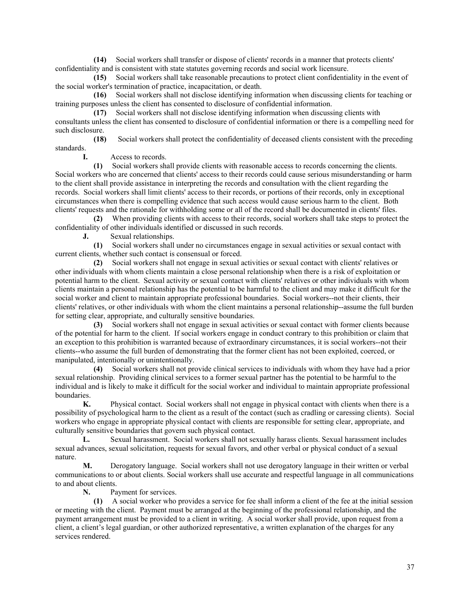**(14)** Social workers shall transfer or dispose of clients' records in a manner that protects clients' confidentiality and is consistent with state statutes governing records and social work licensure.

 **(15)** Social workers shall take reasonable precautions to protect client confidentiality in the event of the social worker's termination of practice, incapacitation, or death.

 **(16)** Social workers shall not disclose identifying information when discussing clients for teaching or training purposes unless the client has consented to disclosure of confidential information.

 **(17)** Social workers shall not disclose identifying information when discussing clients with consultants unless the client has consented to disclosure of confidential information or there is a compelling need for such disclosure.

 **(18)** Social workers shall protect the confidentiality of deceased clients consistent with the preceding standards.

 **I.** Access to records.

 **(1)** Social workers shall provide clients with reasonable access to records concerning the clients. Social workers who are concerned that clients' access to their records could cause serious misunderstanding or harm to the client shall provide assistance in interpreting the records and consultation with the client regarding the records. Social workers shall limit clients' access to their records, or portions of their records, only in exceptional circumstances when there is compelling evidence that such access would cause serious harm to the client. Both clients' requests and the rationale for withholding some or all of the record shall be documented in clients' files.

 **(2)** When providing clients with access to their records, social workers shall take steps to protect the confidentiality of other individuals identified or discussed in such records.

 **J.** Sexual relationships.

 **(1)** Social workers shall under no circumstances engage in sexual activities or sexual contact with current clients, whether such contact is consensual or forced.

 **(2)** Social workers shall not engage in sexual activities or sexual contact with clients' relatives or other individuals with whom clients maintain a close personal relationship when there is a risk of exploitation or potential harm to the client. Sexual activity or sexual contact with clients' relatives or other individuals with whom clients maintain a personal relationship has the potential to be harmful to the client and may make it difficult for the social worker and client to maintain appropriate professional boundaries. Social workers--not their clients, their clients' relatives, or other individuals with whom the client maintains a personal relationship--assume the full burden for setting clear, appropriate, and culturally sensitive boundaries.

 **(3)** Social workers shall not engage in sexual activities or sexual contact with former clients because of the potential for harm to the client. If social workers engage in conduct contrary to this prohibition or claim that an exception to this prohibition is warranted because of extraordinary circumstances, it is social workers--not their clients--who assume the full burden of demonstrating that the former client has not been exploited, coerced, or manipulated, intentionally or unintentionally.

 **(4)** Social workers shall not provide clinical services to individuals with whom they have had a prior sexual relationship. Providing clinical services to a former sexual partner has the potential to be harmful to the individual and is likely to make it difficult for the social worker and individual to maintain appropriate professional boundaries.

**K.** Physical contact. Social workers shall not engage in physical contact with clients when there is a possibility of psychological harm to the client as a result of the contact (such as cradling or caressing clients). Social workers who engage in appropriate physical contact with clients are responsible for setting clear, appropriate, and culturally sensitive boundaries that govern such physical contact.

 **L.** Sexual harassment. Social workers shall not sexually harass clients. Sexual harassment includes sexual advances, sexual solicitation, requests for sexual favors, and other verbal or physical conduct of a sexual nature.

 **M.** Derogatory language. Social workers shall not use derogatory language in their written or verbal communications to or about clients. Social workers shall use accurate and respectful language in all communications to and about clients.

 **N.** Payment for services.

 **(1)** A social worker who provides a service for fee shall inform a client of the fee at the initial session or meeting with the client. Payment must be arranged at the beginning of the professional relationship, and the payment arrangement must be provided to a client in writing. A social worker shall provide, upon request from a client, a client's legal guardian, or other authorized representative, a written explanation of the charges for any services rendered.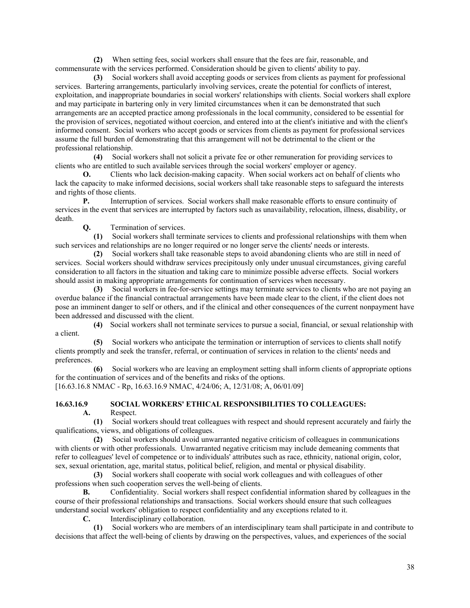**(2)** When setting fees, social workers shall ensure that the fees are fair, reasonable, and commensurate with the services performed. Consideration should be given to clients' ability to pay.

 **(3)** Social workers shall avoid accepting goods or services from clients as payment for professional services. Bartering arrangements, particularly involving services, create the potential for conflicts of interest, exploitation, and inappropriate boundaries in social workers' relationships with clients. Social workers shall explore and may participate in bartering only in very limited circumstances when it can be demonstrated that such arrangements are an accepted practice among professionals in the local community, considered to be essential for the provision of services, negotiated without coercion, and entered into at the client's initiative and with the client's informed consent. Social workers who accept goods or services from clients as payment for professional services assume the full burden of demonstrating that this arrangement will not be detrimental to the client or the professional relationship.

 **(4)** Social workers shall not solicit a private fee or other remuneration for providing services to clients who are entitled to such available services through the social workers' employer or agency.

**O.** Clients who lack decision-making capacity. When social workers act on behalf of clients who lack the capacity to make informed decisions, social workers shall take reasonable steps to safeguard the interests and rights of those clients.

**P.** Interruption of services. Social workers shall make reasonable efforts to ensure continuity of services in the event that services are interrupted by factors such as unavailability, relocation, illness, disability, or death.

 **Q.** Termination of services.

 **(1)** Social workers shall terminate services to clients and professional relationships with them when such services and relationships are no longer required or no longer serve the clients' needs or interests.

 **(2)** Social workers shall take reasonable steps to avoid abandoning clients who are still in need of services. Social workers should withdraw services precipitously only under unusual circumstances, giving careful consideration to all factors in the situation and taking care to minimize possible adverse effects. Social workers should assist in making appropriate arrangements for continuation of services when necessary.

 **(3)** Social workers in fee-for-service settings may terminate services to clients who are not paying an overdue balance if the financial contractual arrangements have been made clear to the client, if the client does not pose an imminent danger to self or others, and if the clinical and other consequences of the current nonpayment have been addressed and discussed with the client.

 **(4)** Social workers shall not terminate services to pursue a social, financial, or sexual relationship with a client.

 **(5)** Social workers who anticipate the termination or interruption of services to clients shall notify clients promptly and seek the transfer, referral, or continuation of services in relation to the clients' needs and preferences.

 **(6)** Social workers who are leaving an employment setting shall inform clients of appropriate options for the continuation of services and of the benefits and risks of the options. [16.63.16.8 NMAC - Rp, 16.63.16.9 NMAC, 4/24/06; A, 12/31/08; A, 06/01/09]

**16.63.16.9 SOCIAL WORKERS' ETHICAL RESPONSIBILITIES TO COLLEAGUES:**

 **A.** Respect.

 **(1)** Social workers should treat colleagues with respect and should represent accurately and fairly the qualifications, views, and obligations of colleagues.

 **(2)** Social workers should avoid unwarranted negative criticism of colleagues in communications with clients or with other professionals. Unwarranted negative criticism may include demeaning comments that refer to colleagues' level of competence or to individuals' attributes such as race, ethnicity, national origin, color, sex, sexual orientation, age, marital status, political belief, religion, and mental or physical disability.

 **(3)** Social workers shall cooperate with social work colleagues and with colleagues of other professions when such cooperation serves the well-being of clients.

**B.** Confidentiality. Social workers shall respect confidential information shared by colleagues in the course of their professional relationships and transactions. Social workers should ensure that such colleagues understand social workers' obligation to respect confidentiality and any exceptions related to it.

 **C.** Interdisciplinary collaboration.

 **(1)** Social workers who are members of an interdisciplinary team shall participate in and contribute to decisions that affect the well-being of clients by drawing on the perspectives, values, and experiences of the social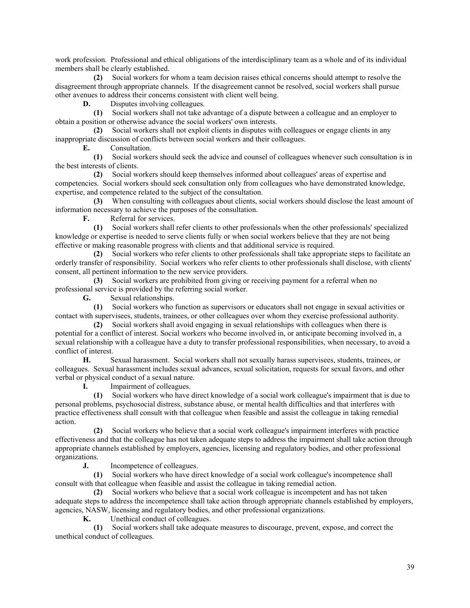work profession. Professional and ethical obligations of the interdisciplinary team as a whole and of its individual members shall be clearly established.

 **(2)** Social workers for whom a team decision raises ethical concerns should attempt to resolve the disagreement through appropriate channels. If the disagreement cannot be resolved, social workers shall pursue other avenues to address their concerns consistent with client well being.

**D.** Disputes involving colleagues.

 **(1)** Social workers shall not take advantage of a dispute between a colleague and an employer to obtain a position or otherwise advance the social workers' own interests.

 **(2)** Social workers shall not exploit clients in disputes with colleagues or engage clients in any inappropriate discussion of conflicts between social workers and their colleagues.

 **E.** Consultation.

 **(1)** Social workers should seek the advice and counsel of colleagues whenever such consultation is in the best interests of clients.

 **(2)** Social workers should keep themselves informed about colleagues' areas of expertise and competencies. Social workers should seek consultation only from colleagues who have demonstrated knowledge, expertise, and competence related to the subject of the consultation.

 **(3)** When consulting with colleagues about clients, social workers should disclose the least amount of information necessary to achieve the purposes of the consultation.

**F.** Referral for services.

 **(1)** Social workers shall refer clients to other professionals when the other professionals' specialized knowledge or expertise is needed to serve clients fully or when social workers believe that they are not being effective or making reasonable progress with clients and that additional service is required.

 **(2)** Social workers who refer clients to other professionals shall take appropriate steps to facilitate an orderly transfer of responsibility. Social workers who refer clients to other professionals shall disclose, with clients' consent, all pertinent information to the new service providers.

 **(3)** Social workers are prohibited from giving or receiving payment for a referral when no professional service is provided by the referring social worker.

 **G.** Sexual relationships.

 **(1)** Social workers who function as supervisors or educators shall not engage in sexual activities or contact with supervisees, students, trainees, or other colleagues over whom they exercise professional authority.

 **(2)** Social workers shall avoid engaging in sexual relationships with colleagues when there is potential for a conflict of interest. Social workers who become involved in, or anticipate becoming involved in, a sexual relationship with a colleague have a duty to transfer professional responsibilities, when necessary, to avoid a conflict of interest.

 **H.** Sexual harassment. Social workers shall not sexually harass supervisees, students, trainees, or colleagues. Sexual harassment includes sexual advances, sexual solicitation, requests for sexual favors, and other verbal or physical conduct of a sexual nature.

 **I.** Impairment of colleagues.

 **(1)** Social workers who have direct knowledge of a social work colleague's impairment that is due to personal problems, psychosocial distress, substance abuse, or mental health difficulties and that interferes with practice effectiveness shall consult with that colleague when feasible and assist the colleague in taking remedial action.

 **(2)** Social workers who believe that a social work colleague's impairment interferes with practice effectiveness and that the colleague has not taken adequate steps to address the impairment shall take action through appropriate channels established by employers, agencies, licensing and regulatory bodies, and other professional organizations.

**J.** Incompetence of colleagues.

 **(1)** Social workers who have direct knowledge of a social work colleague's incompetence shall consult with that colleague when feasible and assist the colleague in taking remedial action.

 **(2)** Social workers who believe that a social work colleague is incompetent and has not taken adequate steps to address the incompetence shall take action through appropriate channels established by employers, agencies, NASW, licensing and regulatory bodies, and other professional organizations.

**K.** Unethical conduct of colleagues.

 **(1)** Social workers shall take adequate measures to discourage, prevent, expose, and correct the unethical conduct of colleagues.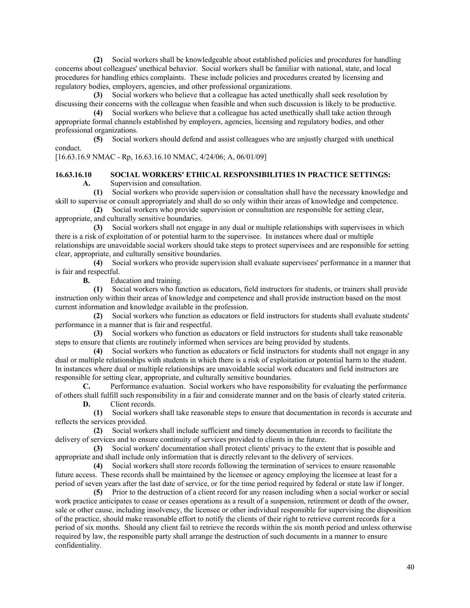**(2)** Social workers shall be knowledgeable about established policies and procedures for handling concerns about colleagues' unethical behavior. Social workers shall be familiar with national, state, and local procedures for handling ethics complaints. These include policies and procedures created by licensing and regulatory bodies, employers, agencies, and other professional organizations.

 **(3)** Social workers who believe that a colleague has acted unethically shall seek resolution by discussing their concerns with the colleague when feasible and when such discussion is likely to be productive.

 **(4)** Social workers who believe that a colleague has acted unethically shall take action through appropriate formal channels established by employers, agencies, licensing and regulatory bodies, and other professional organizations.

 **(5)** Social workers should defend and assist colleagues who are unjustly charged with unethical conduct.

[16.63.16.9 NMAC - Rp, 16.63.16.10 NMAC, 4/24/06; A, 06/01/09]

#### **16.63.16.10 SOCIAL WORKERS' ETHICAL RESPONSIBILITIES IN PRACTICE SETTINGS:**

 **A.** Supervision and consultation.

 **(1)** Social workers who provide supervision or consultation shall have the necessary knowledge and skill to supervise or consult appropriately and shall do so only within their areas of knowledge and competence.

 **(2)** Social workers who provide supervision or consultation are responsible for setting clear, appropriate, and culturally sensitive boundaries.

 **(3)** Social workers shall not engage in any dual or multiple relationships with supervisees in which there is a risk of exploitation of or potential harm to the supervisee. In instances where dual or multiple relationships are unavoidable social workers should take steps to protect supervisees and are responsible for setting clear, appropriate, and culturally sensitive boundaries.

 **(4)** Social workers who provide supervision shall evaluate supervisees' performance in a manner that is fair and respectful.

**B.** Education and training.

 **(1)** Social workers who function as educators, field instructors for students, or trainers shall provide instruction only within their areas of knowledge and competence and shall provide instruction based on the most current information and knowledge available in the profession.

 **(2)** Social workers who function as educators or field instructors for students shall evaluate students' performance in a manner that is fair and respectful.

 **(3)** Social workers who function as educators or field instructors for students shall take reasonable steps to ensure that clients are routinely informed when services are being provided by students.

 **(4)** Social workers who function as educators or field instructors for students shall not engage in any dual or multiple relationships with students in which there is a risk of exploitation or potential harm to the student. In instances where dual or multiple relationships are unavoidable social work educators and field instructors are responsible for setting clear, appropriate, and culturally sensitive boundaries.

 **C.** Performance evaluation. Social workers who have responsibility for evaluating the performance of others shall fulfill such responsibility in a fair and considerate manner and on the basis of clearly stated criteria.

**D.** Client records

 **(1)** Social workers shall take reasonable steps to ensure that documentation in records is accurate and reflects the services provided.

 **(2)** Social workers shall include sufficient and timely documentation in records to facilitate the delivery of services and to ensure continuity of services provided to clients in the future.

 **(3)** Social workers' documentation shall protect clients' privacy to the extent that is possible and appropriate and shall include only information that is directly relevant to the delivery of services.

 **(4)** Social workers shall store records following the termination of services to ensure reasonable future access. These records shall be maintained by the licensee or agency employing the licensee at least for a period of seven years after the last date of service, or for the time period required by federal or state law if longer.

 **(5)** Prior to the destruction of a client record for any reason including when a social worker or social work practice anticipates to cease or ceases operations as a result of a suspension, retirement or death of the owner, sale or other cause, including insolvency, the licensee or other individual responsible for supervising the disposition of the practice, should make reasonable effort to notify the clients of their right to retrieve current records for a period of six months. Should any client fail to retrieve the records within the six month period and unless otherwise required by law, the responsible party shall arrange the destruction of such documents in a manner to ensure confidentiality.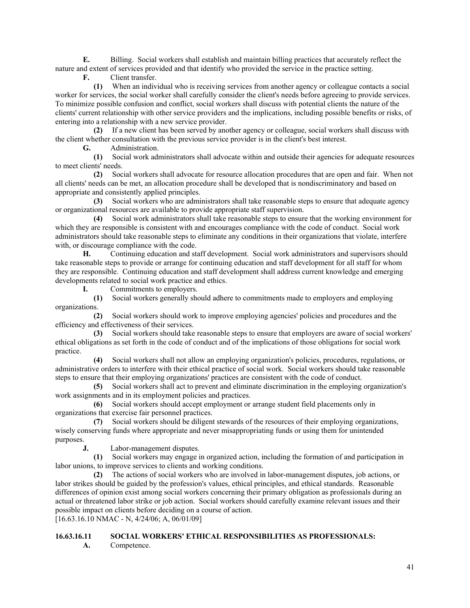**E.** Billing. Social workers shall establish and maintain billing practices that accurately reflect the nature and extent of services provided and that identify who provided the service in the practice setting.

 **F.** Client transfer.

 **(1)** When an individual who is receiving services from another agency or colleague contacts a social worker for services, the social worker shall carefully consider the client's needs before agreeing to provide services. To minimize possible confusion and conflict, social workers shall discuss with potential clients the nature of the clients' current relationship with other service providers and the implications, including possible benefits or risks, of entering into a relationship with a new service provider.

 **(2)** If a new client has been served by another agency or colleague, social workers shall discuss with the client whether consultation with the previous service provider is in the client's best interest.

 **G.** Administration.

 **(1)** Social work administrators shall advocate within and outside their agencies for adequate resources to meet clients' needs.

 **(2)** Social workers shall advocate for resource allocation procedures that are open and fair. When not all clients' needs can be met, an allocation procedure shall be developed that is nondiscriminatory and based on appropriate and consistently applied principles.

 **(3)** Social workers who are administrators shall take reasonable steps to ensure that adequate agency or organizational resources are available to provide appropriate staff supervision.

 **(4)** Social work administrators shall take reasonable steps to ensure that the working environment for which they are responsible is consistent with and encourages compliance with the code of conduct. Social work administrators should take reasonable steps to eliminate any conditions in their organizations that violate, interfere with, or discourage compliance with the code.

 **H.** Continuing education and staff development. Social work administrators and supervisors should take reasonable steps to provide or arrange for continuing education and staff development for all staff for whom they are responsible. Continuing education and staff development shall address current knowledge and emerging developments related to social work practice and ethics.

 **I.** Commitments to employers.

 **(1)** Social workers generally should adhere to commitments made to employers and employing organizations.

 **(2)** Social workers should work to improve employing agencies' policies and procedures and the efficiency and effectiveness of their services.

 **(3)** Social workers should take reasonable steps to ensure that employers are aware of social workers' ethical obligations as set forth in the code of conduct and of the implications of those obligations for social work practice.

 **(4)** Social workers shall not allow an employing organization's policies, procedures, regulations, or administrative orders to interfere with their ethical practice of social work. Social workers should take reasonable steps to ensure that their employing organizations' practices are consistent with the code of conduct.

 **(5)** Social workers shall act to prevent and eliminate discrimination in the employing organization's work assignments and in its employment policies and practices.

 **(6)** Social workers should accept employment or arrange student field placements only in organizations that exercise fair personnel practices.

 **(7)** Social workers should be diligent stewards of the resources of their employing organizations, wisely conserving funds where appropriate and never misappropriating funds or using them for unintended purposes.

**J.** Labor-management disputes.

 **(1)** Social workers may engage in organized action, including the formation of and participation in labor unions, to improve services to clients and working conditions.

 **(2)** The actions of social workers who are involved in labor-management disputes, job actions, or labor strikes should be guided by the profession's values, ethical principles, and ethical standards. Reasonable differences of opinion exist among social workers concerning their primary obligation as professionals during an actual or threatened labor strike or job action. Social workers should carefully examine relevant issues and their possible impact on clients before deciding on a course of action.

[16.63.16.10 NMAC - N, 4/24/06; A, 06/01/09]

# **16.63.16.11 SOCIAL WORKERS' ETHICAL RESPONSIBILITIES AS PROFESSIONALS:**

 **A.** Competence.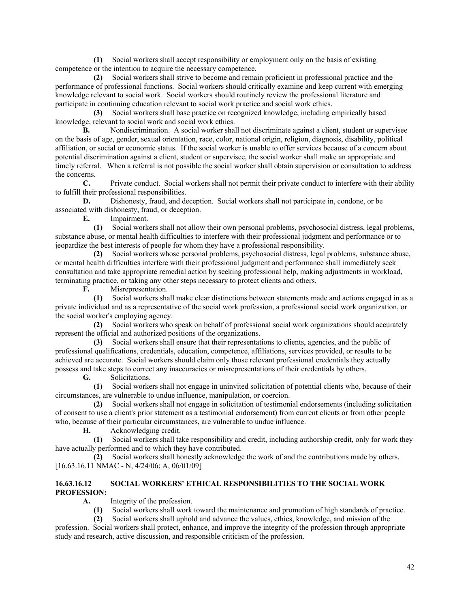**(1)** Social workers shall accept responsibility or employment only on the basis of existing competence or the intention to acquire the necessary competence.

 **(2)** Social workers shall strive to become and remain proficient in professional practice and the performance of professional functions. Social workers should critically examine and keep current with emerging knowledge relevant to social work. Social workers should routinely review the professional literature and participate in continuing education relevant to social work practice and social work ethics.

 **(3)** Social workers shall base practice on recognized knowledge, including empirically based knowledge, relevant to social work and social work ethics.

**B.** Nondiscrimination. A social worker shall not discriminate against a client, student or supervisee on the basis of age, gender, sexual orientation, race, color, national origin, religion, diagnosis, disability, political affiliation, or social or economic status. If the social worker is unable to offer services because of a concern about potential discrimination against a client, student or supervisee, the social worker shall make an appropriate and timely referral. When a referral is not possible the social worker shall obtain supervision or consultation to address the concerns.

 **C.** Private conduct. Social workers shall not permit their private conduct to interfere with their ability to fulfill their professional responsibilities.

**D.** Dishonesty, fraud, and deception. Social workers shall not participate in, condone, or be associated with dishonesty, fraud, or deception.

 **E.** Impairment.

 **(1)** Social workers shall not allow their own personal problems, psychosocial distress, legal problems, substance abuse, or mental health difficulties to interfere with their professional judgment and performance or to jeopardize the best interests of people for whom they have a professional responsibility.

 **(2)** Social workers whose personal problems, psychosocial distress, legal problems, substance abuse, or mental health difficulties interfere with their professional judgment and performance shall immediately seek consultation and take appropriate remedial action by seeking professional help, making adjustments in workload, terminating practice, or taking any other steps necessary to protect clients and others.

 **F.** Misrepresentation.

 **(1)** Social workers shall make clear distinctions between statements made and actions engaged in as a private individual and as a representative of the social work profession, a professional social work organization, or the social worker's employing agency.

 **(2)** Social workers who speak on behalf of professional social work organizations should accurately represent the official and authorized positions of the organizations.

 **(3)** Social workers shall ensure that their representations to clients, agencies, and the public of professional qualifications, credentials, education, competence, affiliations, services provided, or results to be achieved are accurate. Social workers should claim only those relevant professional credentials they actually possess and take steps to correct any inaccuracies or misrepresentations of their credentials by others.

 **G.** Solicitations.

 **(1)** Social workers shall not engage in uninvited solicitation of potential clients who, because of their circumstances, are vulnerable to undue influence, manipulation, or coercion.

 **(2)** Social workers shall not engage in solicitation of testimonial endorsements (including solicitation of consent to use a client's prior statement as a testimonial endorsement) from current clients or from other people who, because of their particular circumstances, are vulnerable to undue influence.

 **H.** Acknowledging credit.

 **(1)** Social workers shall take responsibility and credit, including authorship credit, only for work they have actually performed and to which they have contributed.

 **(2)** Social workers shall honestly acknowledge the work of and the contributions made by others. [16.63.16.11 NMAC - N, 4/24/06; A, 06/01/09]

# **16.63.16.12 SOCIAL WORKERS' ETHICAL RESPONSIBILITIES TO THE SOCIAL WORK PROFESSION:**

- **A.** Integrity of the profession.
	- **(1)** Social workers shall work toward the maintenance and promotion of high standards of practice.

**(2)** Social workers shall uphold and advance the values, ethics, knowledge, and mission of the

profession. Social workers shall protect, enhance, and improve the integrity of the profession through appropriate study and research, active discussion, and responsible criticism of the profession.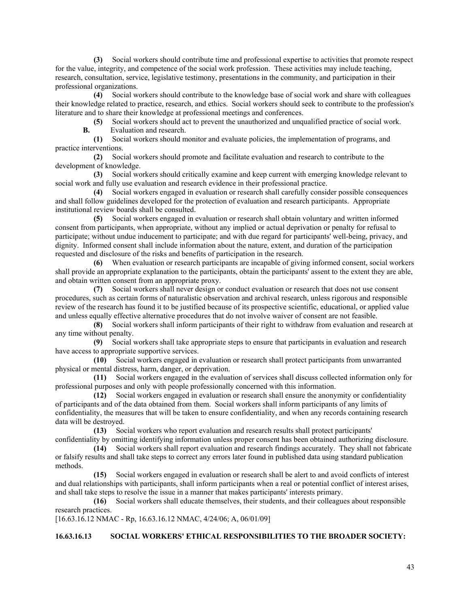**(3)** Social workers should contribute time and professional expertise to activities that promote respect for the value, integrity, and competence of the social work profession. These activities may include teaching, research, consultation, service, legislative testimony, presentations in the community, and participation in their professional organizations.

 **(4)** Social workers should contribute to the knowledge base of social work and share with colleagues their knowledge related to practice, research, and ethics. Social workers should seek to contribute to the profession's literature and to share their knowledge at professional meetings and conferences.

**(5)** Social workers should act to prevent the unauthorized and unqualified practice of social work.

**B.** Evaluation and research.

 **(1)** Social workers should monitor and evaluate policies, the implementation of programs, and practice interventions.

 **(2)** Social workers should promote and facilitate evaluation and research to contribute to the development of knowledge.

 **(3)** Social workers should critically examine and keep current with emerging knowledge relevant to social work and fully use evaluation and research evidence in their professional practice.

 **(4)** Social workers engaged in evaluation or research shall carefully consider possible consequences and shall follow guidelines developed for the protection of evaluation and research participants. Appropriate institutional review boards shall be consulted.

 **(5)** Social workers engaged in evaluation or research shall obtain voluntary and written informed consent from participants, when appropriate, without any implied or actual deprivation or penalty for refusal to participate; without undue inducement to participate; and with due regard for participants' well-being, privacy, and dignity. Informed consent shall include information about the nature, extent, and duration of the participation requested and disclosure of the risks and benefits of participation in the research.

 **(6)** When evaluation or research participants are incapable of giving informed consent, social workers shall provide an appropriate explanation to the participants, obtain the participants' assent to the extent they are able, and obtain written consent from an appropriate proxy.

 **(7)** Social workers shall never design or conduct evaluation or research that does not use consent procedures, such as certain forms of naturalistic observation and archival research, unless rigorous and responsible review of the research has found it to be justified because of its prospective scientific, educational, or applied value and unless equally effective alternative procedures that do not involve waiver of consent are not feasible.

 **(8)** Social workers shall inform participants of their right to withdraw from evaluation and research at any time without penalty.

 **(9)** Social workers shall take appropriate steps to ensure that participants in evaluation and research have access to appropriate supportive services.

 **(10)** Social workers engaged in evaluation or research shall protect participants from unwarranted physical or mental distress, harm, danger, or deprivation.

 **(11)** Social workers engaged in the evaluation of services shall discuss collected information only for professional purposes and only with people professionally concerned with this information.

 **(12)** Social workers engaged in evaluation or research shall ensure the anonymity or confidentiality of participants and of the data obtained from them. Social workers shall inform participants of any limits of confidentiality, the measures that will be taken to ensure confidentiality, and when any records containing research data will be destroyed.

 **(13)** Social workers who report evaluation and research results shall protect participants' confidentiality by omitting identifying information unless proper consent has been obtained authorizing disclosure.<br>
(14) Social workers shall report evaluation and research findings accurately. They shall not fabricate

Social workers shall report evaluation and research findings accurately. They shall not fabricate or falsify results and shall take steps to correct any errors later found in published data using standard publication methods.

 **(15)** Social workers engaged in evaluation or research shall be alert to and avoid conflicts of interest and dual relationships with participants, shall inform participants when a real or potential conflict of interest arises, and shall take steps to resolve the issue in a manner that makes participants' interests primary.

 **(16)** Social workers shall educate themselves, their students, and their colleagues about responsible research practices.

[16.63.16.12 NMAC - Rp, 16.63.16.12 NMAC, 4/24/06; A, 06/01/09]

# **16.63.16.13 SOCIAL WORKERS' ETHICAL RESPONSIBILITIES TO THE BROADER SOCIETY:**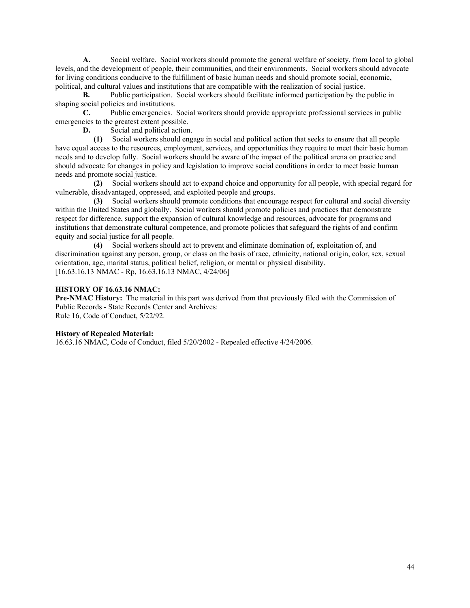**A.** Social welfare. Social workers should promote the general welfare of society, from local to global levels, and the development of people, their communities, and their environments. Social workers should advocate for living conditions conducive to the fulfillment of basic human needs and should promote social, economic, political, and cultural values and institutions that are compatible with the realization of social justice.

**B.** Public participation. Social workers should facilitate informed participation by the public in shaping social policies and institutions.

 **C.** Public emergencies. Social workers should provide appropriate professional services in public emergencies to the greatest extent possible.

**D.** Social and political action.

 **(1)** Social workers should engage in social and political action that seeks to ensure that all people have equal access to the resources, employment, services, and opportunities they require to meet their basic human needs and to develop fully. Social workers should be aware of the impact of the political arena on practice and should advocate for changes in policy and legislation to improve social conditions in order to meet basic human needs and promote social justice.

 **(2)** Social workers should act to expand choice and opportunity for all people, with special regard for vulnerable, disadvantaged, oppressed, and exploited people and groups.

 **(3)** Social workers should promote conditions that encourage respect for cultural and social diversity within the United States and globally. Social workers should promote policies and practices that demonstrate respect for difference, support the expansion of cultural knowledge and resources, advocate for programs and institutions that demonstrate cultural competence, and promote policies that safeguard the rights of and confirm equity and social justice for all people.

 **(4)** Social workers should act to prevent and eliminate domination of, exploitation of, and discrimination against any person, group, or class on the basis of race, ethnicity, national origin, color, sex, sexual orientation, age, marital status, political belief, religion, or mental or physical disability. [16.63.16.13 NMAC - Rp, 16.63.16.13 NMAC, 4/24/06]

### **HISTORY OF 16.63.16 NMAC:**

**Pre-NMAC History:** The material in this part was derived from that previously filed with the Commission of Public Records - State Records Center and Archives: Rule 16, Code of Conduct, 5/22/92.

#### **History of Repealed Material:**

16.63.16 NMAC, Code of Conduct, filed 5/20/2002 - Repealed effective 4/24/2006.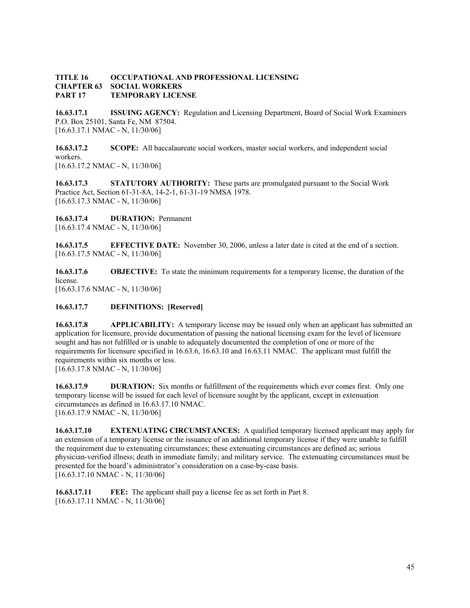### **TITLE 16 OCCUPATIONAL AND PROFESSIONAL LICENSING CHAPTER 63 SOCIAL WORKERS PART 17 TEMPORARY LICENSE**

**16.63.17.1 ISSUING AGENCY:** Regulation and Licensing Department, Board of Social Work Examiners P.O. Box 25101, Santa Fe, NM 87504. [16.63.17.1 NMAC - N, 11/30/06]

**16.63.17.2 SCOPE:** All baccalaureate social workers, master social workers, and independent social workers. [16.63.17.2 NMAC - N, 11/30/06]

**16.63.17.3 STATUTORY AUTHORITY:** These parts are promulgated pursuant to the Social Work Practice Act, Section 61-31-8A, 14-2-1, 61-31-19 NMSA 1978. [16.63.17.3 NMAC - N, 11/30/06]

**16.63.17.4 DURATION:** Permanent [16.63.17.4 NMAC - N, 11/30/06]

**16.63.17.5 EFFECTIVE DATE:** November 30, 2006, unless a later date is cited at the end of a section. [16.63.17.5 NMAC - N, 11/30/06]

**16.63.17.6 OBJECTIVE:** To state the minimum requirements for a temporary license, the duration of the license. [16.63.17.6 NMAC - N, 11/30/06]

# **16.63.17.7 DEFINITIONS: [Reserved]**

**16.63.17.8 APPLICABILITY:** A temporary license may be issued only when an applicant has submitted an application for licensure, provide documentation of passing the national licensing exam for the level of licensure sought and has not fulfilled or is unable to adequately documented the completion of one or more of the requirements for licensure specified in 16.63.6, 16.63.10 and 16.63.11 NMAC. The applicant must fulfill the requirements within six months or less.

[16.63.17.8 NMAC - N, 11/30/06]

**16.63.17.9 DURATION:** Six months or fulfillment of the requirements which ever comes first. Only one temporary license will be issued for each level of licensure sought by the applicant, except in extenuation circumstances as defined in 16.63.17.10 NMAC. [16.63.17.9 NMAC - N, 11/30/06]

**16.63.17.10 EXTENUATING CIRCUMSTANCES:** A qualified temporary licensed applicant may apply for an extension of a temporary license or the issuance of an additional temporary license if they were unable to fulfill the requirement due to extenuating circumstances; these extenuating circumstances are defined as; serious physician-verified illness; death in immediate family; and military service. The extenuating circumstances must be presented for the board's administrator's consideration on a case-by-case basis. [16.63.17.10 NMAC - N, 11/30/06]

**16.63.17.11 FEE:** The applicant shall pay a license fee as set forth in Part 8. [16.63.17.11 NMAC - N, 11/30/06]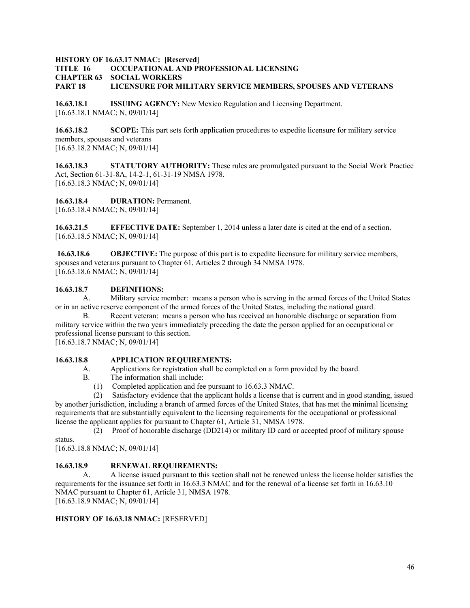# **HISTORY OF 16.63.17 NMAC: [Reserved]**

# **TITLE 16 OCCUPATIONAL AND PROFESSIONAL LICENSING CHAPTER 63 SOCIAL WORKERS PART 18 LICENSURE FOR MILITARY SERVICE MEMBERS, SPOUSES AND VETERANS**

**16.63.18.1 ISSUING AGENCY:** New Mexico Regulation and Licensing Department. [16.63.18.1 NMAC; N, 09/01/14]

**16.63.18.2 SCOPE:** This part sets forth application procedures to expedite licensure for military service members, spouses and veterans [16.63.18.2 NMAC; N, 09/01/14]

**16.63.18.3 STATUTORY AUTHORITY:** These rules are promulgated pursuant to the Social Work Practice Act, Section 61-31-8A, 14-2-1, 61-31-19 NMSA 1978. [16.63.18.3 NMAC; N, 09/01/14]

**16.63.18.4 DURATION:** Permanent. [16.63.18.4 NMAC; N, 09/01/14]

**16.63.21.5 EFFECTIVE DATE:** September 1, 2014 unless a later date is cited at the end of a section. [16.63.18.5 NMAC; N, 09/01/14]

**16.63.18.6 OBJECTIVE:** The purpose of this part is to expedite licensure for military service members, spouses and veterans pursuant to Chapter 61, Articles 2 through 34 NMSA 1978. [16.63.18.6 NMAC; N, 09/01/14]

# **16.63.18.7 DEFINITIONS:**

 A. Military service member: means a person who is serving in the armed forces of the United States or in an active reserve component of the armed forces of the United States, including the national guard.

 B. Recent veteran: means a person who has received an honorable discharge or separation from military service within the two years immediately preceding the date the person applied for an occupational or professional license pursuant to this section.

[16.63.18.7 NMAC; N, 09/01/14]

# **16.63.18.8 APPLICATION REQUIREMENTS:**

A. Applications for registration shall be completed on a form provided by the board.

- B. The information shall include:
	- (1) Completed application and fee pursuant to 16.63.3 NMAC.

 (2) Satisfactory evidence that the applicant holds a license that is current and in good standing, issued by another jurisdiction, including a branch of armed forces of the United States, that has met the minimal licensing requirements that are substantially equivalent to the licensing requirements for the occupational or professional license the applicant applies for pursuant to Chapter 61, Article 31, NMSA 1978.

(2) Proof of honorable discharge (DD214) or military ID card or accepted proof of military spouse

status.

[16.63.18.8 NMAC; N, 09/01/14]

# **16.63.18.9 RENEWAL REQUIREMENTS:**

 A. A license issued pursuant to this section shall not be renewed unless the license holder satisfies the requirements for the issuance set forth in 16.63.3 NMAC and for the renewal of a license set forth in 16.63.10 NMAC pursuant to Chapter 61, Article 31, NMSA 1978. [16.63.18.9 NMAC; N, 09/01/14]

# **HISTORY OF 16.63.18 NMAC:** [RESERVED]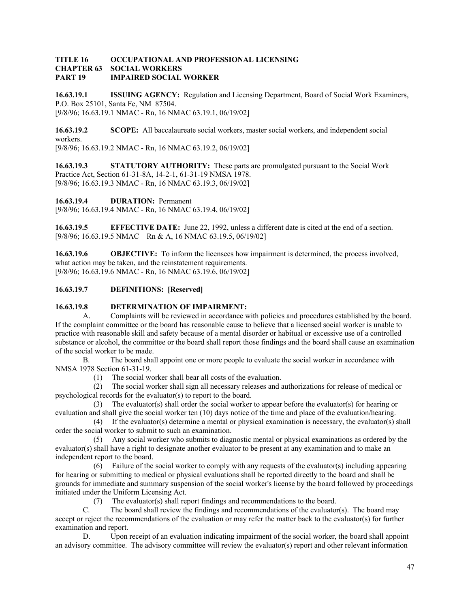# **TITLE 16 OCCUPATIONAL AND PROFESSIONAL LICENSING<br>CHAPTER 63 SOCIAL WORKERS SOCIAL WORKERS PART 19 IMPAIRED SOCIAL WORKER**

**16.63.19.1 ISSUING AGENCY:** Regulation and Licensing Department, Board of Social Work Examiners, P.O. Box 25101, Santa Fe, NM 87504. [9/8/96; 16.63.19.1 NMAC - Rn, 16 NMAC 63.19.1, 06/19/02]

**16.63.19.2 SCOPE:** All baccalaureate social workers, master social workers, and independent social workers.

[9/8/96; 16.63.19.2 NMAC - Rn, 16 NMAC 63.19.2, 06/19/02]

**16.63.19.3 STATUTORY AUTHORITY:** These parts are promulgated pursuant to the Social Work Practice Act, Section 61-31-8A, 14-2-1, 61-31-19 NMSA 1978. [9/8/96; 16.63.19.3 NMAC - Rn, 16 NMAC 63.19.3, 06/19/02]

**16.63.19.4 DURATION:** Permanent

[9/8/96; 16.63.19.4 NMAC - Rn, 16 NMAC 63.19.4, 06/19/02]

**16.63.19.5 EFFECTIVE DATE:** June 22, 1992, unless a different date is cited at the end of a section. [9/8/96; 16.63.19.5 NMAC – Rn & A, 16 NMAC 63.19.5, 06/19/02]

**16.63.19.6 OBJECTIVE:** To inform the licensees how impairment is determined, the process involved, what action may be taken, and the reinstatement requirements. [9/8/96; 16.63.19.6 NMAC - Rn, 16 NMAC 63.19.6, 06/19/02]

# **16.63.19.7 DEFINITIONS: [Reserved]**

# **16.63.19.8 DETERMINATION OF IMPAIRMENT:**

 A. Complaints will be reviewed in accordance with policies and procedures established by the board. If the complaint committee or the board has reasonable cause to believe that a licensed social worker is unable to practice with reasonable skill and safety because of a mental disorder or habitual or excessive use of a controlled substance or alcohol, the committee or the board shall report those findings and the board shall cause an examination of the social worker to be made.

 B. The board shall appoint one or more people to evaluate the social worker in accordance with NMSA 1978 Section 61-31-19.

(1) The social worker shall bear all costs of the evaluation.

 (2) The social worker shall sign all necessary releases and authorizations for release of medical or psychological records for the evaluator(s) to report to the board.

 (3) The evaluator(s) shall order the social worker to appear before the evaluator(s) for hearing or evaluation and shall give the social worker ten (10) days notice of the time and place of the evaluation/hearing.

 (4) If the evaluator(s) determine a mental or physical examination is necessary, the evaluator(s) shall order the social worker to submit to such an examination.

 (5) Any social worker who submits to diagnostic mental or physical examinations as ordered by the evaluator(s) shall have a right to designate another evaluator to be present at any examination and to make an independent report to the board.

 (6) Failure of the social worker to comply with any requests of the evaluator(s) including appearing for hearing or submitting to medical or physical evaluations shall be reported directly to the board and shall be grounds for immediate and summary suspension of the social worker's license by the board followed by proceedings initiated under the Uniform Licensing Act.

The evaluator(s) shall report findings and recommendations to the board.

C. The board shall review the findings and recommendations of the evaluator(s). The board may accept or reject the recommendations of the evaluation or may refer the matter back to the evaluator(s) for further examination and report.

 D. Upon receipt of an evaluation indicating impairment of the social worker, the board shall appoint an advisory committee. The advisory committee will review the evaluator(s) report and other relevant information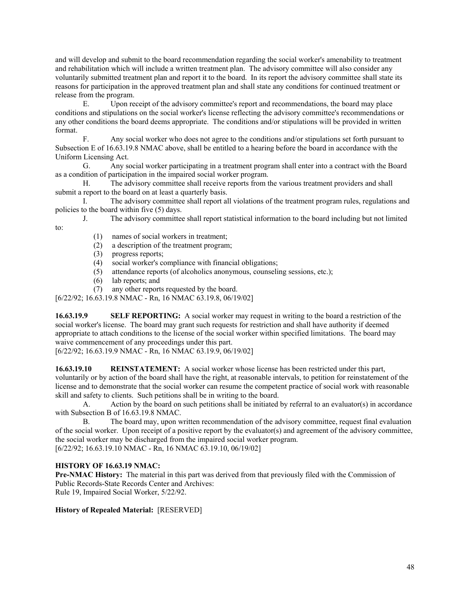and will develop and submit to the board recommendation regarding the social worker's amenability to treatment and rehabilitation which will include a written treatment plan. The advisory committee will also consider any voluntarily submitted treatment plan and report it to the board. In its report the advisory committee shall state its reasons for participation in the approved treatment plan and shall state any conditions for continued treatment or release from the program.

 E. Upon receipt of the advisory committee's report and recommendations, the board may place conditions and stipulations on the social worker's license reflecting the advisory committee's recommendations or any other conditions the board deems appropriate. The conditions and/or stipulations will be provided in written format.

 F. Any social worker who does not agree to the conditions and/or stipulations set forth pursuant to Subsection E of 16.63.19.8 NMAC above, shall be entitled to a hearing before the board in accordance with the Uniform Licensing Act.

 G. Any social worker participating in a treatment program shall enter into a contract with the Board as a condition of participation in the impaired social worker program.

 H. The advisory committee shall receive reports from the various treatment providers and shall submit a report to the board on at least a quarterly basis.

 I. The advisory committee shall report all violations of the treatment program rules, regulations and policies to the board within five (5) days.

 J. The advisory committee shall report statistical information to the board including but not limited to:

- (1) names of social workers in treatment;
- (2) a description of the treatment program;
- (3) progress reports;
- (4) social worker's compliance with financial obligations;
- (5) attendance reports (of alcoholics anonymous, counseling sessions, etc.);
- (6) lab reports; and
- (7) any other reports requested by the board.

[6/22/92; 16.63.19.8 NMAC - Rn, 16 NMAC 63.19.8, 06/19/02]

**16.63.19.9 SELF REPORTING:** A social worker may request in writing to the board a restriction of the social worker's license. The board may grant such requests for restriction and shall have authority if deemed appropriate to attach conditions to the license of the social worker within specified limitations. The board may waive commencement of any proceedings under this part.

[6/22/92; 16.63.19.9 NMAC - Rn, 16 NMAC 63.19.9, 06/19/02]

**16.63.19.10 REINSTATEMENT:** A social worker whose license has been restricted under this part, voluntarily or by action of the board shall have the right, at reasonable intervals, to petition for reinstatement of the license and to demonstrate that the social worker can resume the competent practice of social work with reasonable skill and safety to clients. Such petitions shall be in writing to the board.

 A. Action by the board on such petitions shall be initiated by referral to an evaluator(s) in accordance with Subsection B of 16.63.19.8 NMAC.

 B. The board may, upon written recommendation of the advisory committee, request final evaluation of the social worker. Upon receipt of a positive report by the evaluator(s) and agreement of the advisory committee, the social worker may be discharged from the impaired social worker program. [6/22/92; 16.63.19.10 NMAC - Rn, 16 NMAC 63.19.10, 06/19/02]

#### **HISTORY OF 16.63.19 NMAC:**

**Pre-NMAC History:** The material in this part was derived from that previously filed with the Commission of Public Records-State Records Center and Archives: Rule 19, Impaired Social Worker, 5/22/92.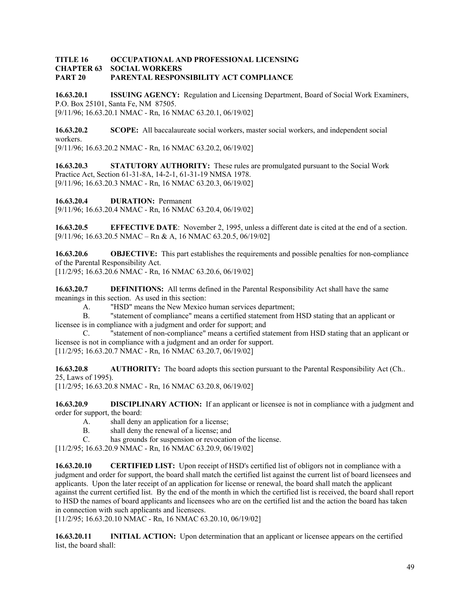### **TITLE 16 OCCUPATIONAL AND PROFESSIONAL LICENSING CHAPTER 63 SOCIAL WORKERS PART 20 PARENTAL RESPONSIBILITY ACT COMPLIANCE**

**16.63.20.1 ISSUING AGENCY:** Regulation and Licensing Department, Board of Social Work Examiners, P.O. Box 25101, Santa Fe, NM 87505. [9/11/96; 16.63.20.1 NMAC - Rn, 16 NMAC 63.20.1, 06/19/02]

**16.63.20.2 SCOPE:** All baccalaureate social workers, master social workers, and independent social workers.

[9/11/96; 16.63.20.2 NMAC - Rn, 16 NMAC 63.20.2, 06/19/02]

**16.63.20.3 STATUTORY AUTHORITY:** These rules are promulgated pursuant to the Social Work Practice Act, Section 61-31-8A, 14-2-1, 61-31-19 NMSA 1978. [9/11/96; 16.63.20.3 NMAC - Rn, 16 NMAC 63.20.3, 06/19/02]

**16.63.20.4 DURATION:** Permanent

[9/11/96; 16.63.20.4 NMAC - Rn, 16 NMAC 63.20.4, 06/19/02]

**16.63.20.5 EFFECTIVE DATE**: November 2, 1995, unless a different date is cited at the end of a section. [9/11/96; 16.63.20.5 NMAC – Rn & A, 16 NMAC 63.20.5, 06/19/02]

**16.63.20.6 OBJECTIVE:** This part establishes the requirements and possible penalties for non-compliance of the Parental Responsibility Act.

[11/2/95; 16.63.20.6 NMAC - Rn, 16 NMAC 63.20.6, 06/19/02]

**16.63.20.7 DEFINITIONS:** All terms defined in the Parental Responsibility Act shall have the same meanings in this section. As used in this section:

A. "HSD" means the New Mexico human services department;

 B. "statement of compliance" means a certified statement from HSD stating that an applicant or licensee is in compliance with a judgment and order for support; and

 C. "statement of non-compliance" means a certified statement from HSD stating that an applicant or licensee is not in compliance with a judgment and an order for support. [11/2/95; 16.63.20.7 NMAC - Rn, 16 NMAC 63.20.7, 06/19/02]

**16.63.20.8 AUTHORITY:** The board adopts this section pursuant to the Parental Responsibility Act (Ch...) 25, Laws of 1995).

[11/2/95; 16.63.20.8 NMAC - Rn, 16 NMAC 63.20.8, 06/19/02]

**16.63.20.9 DISCIPLINARY ACTION:** If an applicant or licensee is not in compliance with a judgment and order for support, the board:

A. shall deny an application for a license;

B. shall deny the renewal of a license; and

C. has grounds for suspension or revocation of the license.

[11/2/95; 16.63.20.9 NMAC - Rn, 16 NMAC 63.20.9, 06/19/02]

**16.63.20.10 CERTIFIED LIST:** Upon receipt of HSD's certified list of obligors not in compliance with a judgment and order for support, the board shall match the certified list against the current list of board licensees and applicants. Upon the later receipt of an application for license or renewal, the board shall match the applicant against the current certified list. By the end of the month in which the certified list is received, the board shall report to HSD the names of board applicants and licensees who are on the certified list and the action the board has taken in connection with such applicants and licensees.

[11/2/95; 16.63.20.10 NMAC - Rn, 16 NMAC 63.20.10, 06/19/02]

**16.63.20.11 INITIAL ACTION:** Upon determination that an applicant or licensee appears on the certified list, the board shall: